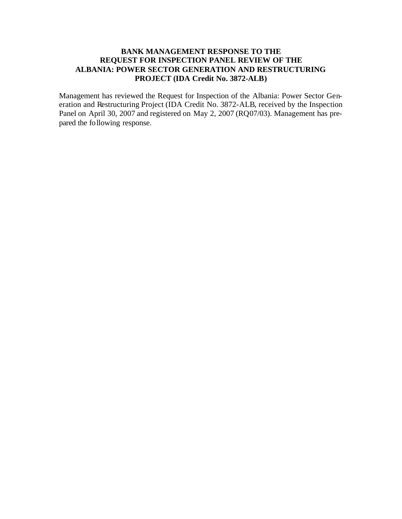#### **BANK MANAGEMENT RESPONSE TO THE REQUEST FOR INSPECTION PANEL REVIEW OF THE ALBANIA: POWER SECTOR GENERATION AND RESTRUCTURING PROJECT (IDA Credit No. 3872-ALB)**

Management has reviewed the Request for Inspection of the Albania: Power Sector Generation and Restructuring Project (IDA Credit No. 3872-ALB, received by the Inspection Panel on April 30, 2007 and registered on May 2, 2007 (RQ07/03). Management has prepared the following response.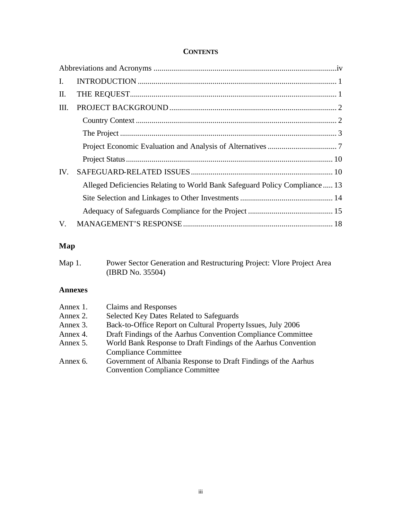#### **CONTENTS**

| $\mathbf{I}$ . |                                                                            |
|----------------|----------------------------------------------------------------------------|
| П.             |                                                                            |
| Ш.             |                                                                            |
|                |                                                                            |
|                |                                                                            |
|                |                                                                            |
|                |                                                                            |
| IV.            |                                                                            |
|                | Alleged Deficiencies Relating to World Bank Safeguard Policy Compliance 13 |
|                |                                                                            |
|                |                                                                            |
| $V_{\cdot}$    |                                                                            |

# **Map**

| Map $1$ . | Power Sector Generation and Restructuring Project: Vlore Project Area |
|-----------|-----------------------------------------------------------------------|
|           | (IBRD No. 35504)                                                      |

#### **Annexes**

| Annex 1. | Claims and Responses                                           |
|----------|----------------------------------------------------------------|
| Annex 2. | Selected Key Dates Related to Safeguards                       |
| Annex 3. | Back-to-Office Report on Cultural Property Issues, July 2006   |
| Annex 4. | Draft Findings of the Aarhus Convention Compliance Committee   |
| Annex 5. | World Bank Response to Draft Findings of the Aarhus Convention |
|          | <b>Compliance Committee</b>                                    |
| Annex 6. | Government of Albania Response to Draft Findings of the Aarhus |
|          | <b>Convention Compliance Committee</b>                         |
|          |                                                                |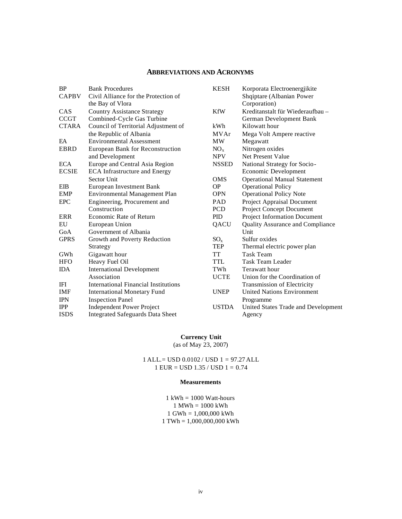#### **ABBREVIATIONS AND ACRONYMS**

| <b>BP</b>    | <b>Bank Procedures</b>                  | <b>KESH</b>  | Korporata Electroenergjikite            |
|--------------|-----------------------------------------|--------------|-----------------------------------------|
| <b>CAPBV</b> | Civil Alliance for the Protection of    |              | Shqiptare (Albanian Power               |
|              | the Bay of Vlora                        |              | Corporation)                            |
| <b>CAS</b>   | <b>Country Assistance Strategy</b>      | <b>KfW</b>   | Kreditanstalt für Wiederaufbau -        |
| <b>CCGT</b>  | Combined-Cycle Gas Turbine              |              | German Development Bank                 |
| <b>CTARA</b> | Council of Territorial Adjustment of    | kWh          | Kilowatt hour                           |
|              | the Republic of Albania                 | <b>MVAr</b>  | Mega Volt Ampere reactive               |
| EA           | <b>Environmental Assessment</b>         | <b>MW</b>    | Megawatt                                |
| <b>EBRD</b>  | European Bank for Reconstruction        | $NO_{x}$     | Nitrogen oxides                         |
|              | and Development                         | <b>NPV</b>   | Net Present Value                       |
| <b>ECA</b>   | Europe and Central Asia Region          | <b>NSSED</b> | National Strategy for Socio-            |
| <b>ECSIE</b> | <b>ECA</b> Infrastructure and Energy    |              | Economic Development                    |
|              | Sector Unit                             | <b>OMS</b>   | <b>Operational Manual Statement</b>     |
| <b>EIB</b>   | European Investment Bank                | <b>OP</b>    | <b>Operational Policy</b>               |
| <b>EMP</b>   | Environmental Management Plan           | <b>OPN</b>   | <b>Operational Policy Note</b>          |
| <b>EPC</b>   | Engineering, Procurement and            | PAD          | Project Appraisal Document              |
|              | Construction                            | <b>PCD</b>   | <b>Project Concept Document</b>         |
| <b>ERR</b>   | Economic Rate of Return                 | <b>PID</b>   | <b>Project Information Document</b>     |
| EU           | European Union                          | QACU         | <b>Quality Assurance and Compliance</b> |
| GoA          | Government of Albania                   |              | Unit                                    |
| <b>GPRS</b>  | Growth and Poverty Reduction            | $SO_{x}$     | Sulfur oxides                           |
|              | Strategy                                | <b>TEP</b>   | Thermal electric power plan             |
| GWh          | Gigawatt hour                           | <b>TT</b>    | <b>Task Team</b>                        |
| <b>HFO</b>   | Heavy Fuel Oil                          | <b>TTL</b>   | Task Team Leader                        |
| <b>IDA</b>   | <b>International Development</b>        | TWh          | Terawatt hour                           |
|              | Association                             | <b>UCTE</b>  | Union for the Coordination of           |
| <b>IFI</b>   | International Financial Institutions    |              | <b>Transmission of Electricity</b>      |
| IMF          | <b>International Monetary Fund</b>      | <b>UNEP</b>  | <b>United Nations Environment</b>       |
| <b>IPN</b>   | <b>Inspection Panel</b>                 |              | Programme                               |
| <b>IPP</b>   | <b>Independent Power Project</b>        | <b>USTDA</b> | United States Trade and Development     |
| <b>ISDS</b>  | <b>Integrated Safeguards Data Sheet</b> |              | Agency                                  |

# **Currency Unit**

(as of May 23, 2007)

1 ALL.= USD 0.0102 / USD 1 = 97.27 ALL 1 EUR = USD 1.35 / USD 1 = 0.74

#### **Measurements**

 $1$  kWh = 1000 Watt-hours 1 MWh = 1000 kWh 1 GWh = 1,000,000 kWh 1 TWh = 1,000,000,000 kWh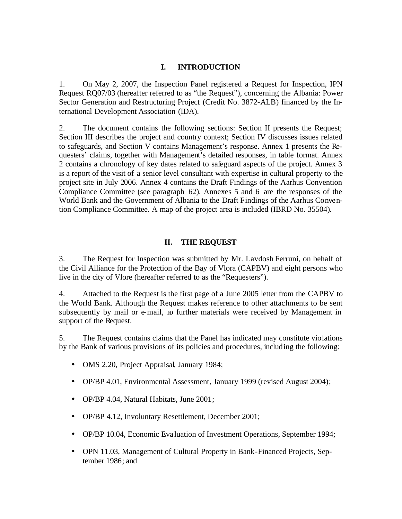#### **I. INTRODUCTION**

1. On May 2, 2007, the Inspection Panel registered a Request for Inspection, IPN Request RQ07/03 (hereafter referred to as "the Request"), concerning the Albania: Power Sector Generation and Restructuring Project (Credit No. 3872-ALB) financed by the International Development Association (IDA).

2. The document contains the following sections: Section II presents the Request; Section III describes the project and country context; Section IV discusses issues related to safeguards, and Section V contains Management's response. Annex 1 presents the Requesters' claims, together with Management's detailed responses, in table format. Annex 2 contains a chronology of key dates related to safeguard aspects of the project. Annex 3 is a report of the visit of a senior level consultant with expertise in cultural property to the project site in July 2006. Annex 4 contains the Draft Findings of the Aarhus Convention Compliance Committee (see paragraph 62). Annexes 5 and 6 are the responses of the World Bank and the Government of Albania to the Draft Findings of the Aarhus Convention Compliance Committee. A map of the project area is included (IBRD No. 35504).

# **II. THE REQUEST**

3. The Request for Inspection was submitted by Mr. Lavdosh Ferruni, on behalf of the Civil Alliance for the Protection of the Bay of Vlora (CAPBV) and eight persons who live in the city of Vlore (hereafter referred to as the "Requesters").

4. Attached to the Request is the first page of a June 2005 letter from the CAPBV to the World Bank. Although the Request makes reference to other attachments to be sent subsequently by mail or e-mail, no further materials were received by Management in support of the Request.

5. The Request contains claims that the Panel has indicated may constitute violations by the Bank of various provisions of its policies and procedures, including the following:

- OMS 2.20, Project Appraisal, January 1984;
- OP/BP 4.01, Environmental Assessment, January 1999 (revised August 2004);
- OP/BP 4.04, Natural Habitats, June 2001;
- OP/BP 4.12, Involuntary Resettlement, December 2001;
- OP/BP 10.04, Economic Evaluation of Investment Operations, September 1994;
- OPN 11.03, Management of Cultural Property in Bank-Financed Projects, September 1986; and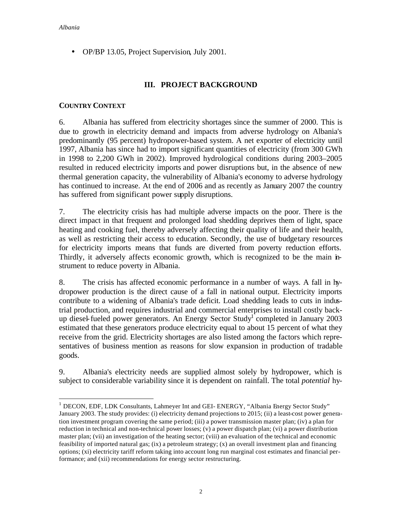• OP/BP 13.05, Project Supervision, July 2001.

# **III. PROJECT BACKGROUND**

#### **COUNTRY CONTEXT**

6. Albania has suffered from electricity shortages since the summer of 2000. This is due to growth in electricity demand and impacts from adverse hydrology on Albania's predominantly (95 percent) hydropower-based system. A net exporter of electricity until 1997, Albania has since had to import significant quantities of electricity (from 300 GWh in 1998 to 2,200 GWh in 2002). Improved hydrological conditions during 2003–2005 resulted in reduced electricity imports and power disruptions but, in the absence of new thermal generation capacity, the vulnerability of Albania's economy to adverse hydrology has continued to increase. At the end of 2006 and as recently as January 2007 the country has suffered from significant power supply disruptions.

7. The electricity crisis has had multiple adverse impacts on the poor. There is the direct impact in that frequent and prolonged load shedding deprives them of light, space heating and cooking fuel, thereby adversely affecting their quality of life and their health, as well as restricting their access to education. Secondly, the use of budgetary resources for electricity imports means that funds are diverted from poverty reduction efforts. Thirdly, it adversely affects economic growth, which is recognized to be the main instrument to reduce poverty in Albania.

8. The crisis has affected economic performance in a number of ways. A fall in hydropower production is the direct cause of a fall in national output. Electricity imports contribute to a widening of Albania's trade deficit. Load shedding leads to cuts in industrial production, and requires industrial and commercial enterprises to install costly backup diesel-fueled power generators. An Energy Sector Study<sup>1</sup> completed in January 2003 estimated that these generators produce electricity equal to about 15 percent of what they receive from the grid. Electricity shortages are also listed among the factors which representatives of business mention as reasons for slow expansion in production of tradable goods.

9. Albania's electricity needs are supplied almost solely by hydropower, which is subject to considerable variability since it is dependent on rainfall. The total *potential* hy-

 $\overline{a}$ <sup>1</sup> DECON, EDF, LDK Consultants, Lahmeyer Int and GEI- ENERGY, "Albania Energy Sector Study" January 2003. The study provides: (i) electricity demand projections to 2015; (ii) a least-cost power generation investment program covering the same period; (iii) a power transmission master plan; (iv) a plan for reduction in technical and non-technical power losses; (v) a power dispatch plan; (vi) a power distribution master plan; (vii) an investigation of the heating sector; (viii) an evaluation of the technical and economic feasibility of imported natural gas; (ix) a petroleum strategy; (x) an overall investment plan and financing options; (xi) electricity tariff reform taking into account long run marginal cost estimates and financial performance; and (xii) recommendations for energy sector restructuring.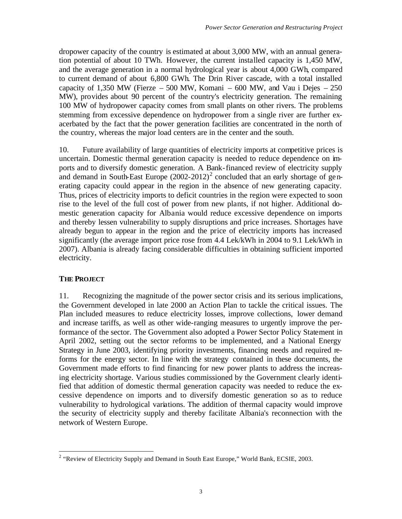dropower capacity of the country is estimated at about 3,000 MW, with an annual generation potential of about 10 TWh. However, the current installed capacity is 1,450 MW, and the average generation in a normal hydrological year is about 4,000 GWh, compared to current demand of about 6,800 GWh. The Drin River cascade, with a total installed capacity of 1,350 MW (Fierze  $-500$  MW, Komani  $-600$  MW, and Vau i Dejes  $-250$ MW), provides about 90 percent of the country's electricity generation. The remaining 100 MW of hydropower capacity comes from small plants on other rivers. The problems stemming from excessive dependence on hydropower from a single river are further exacerbated by the fact that the power generation facilities are concentrated in the north of the country, whereas the major load centers are in the center and the south.

10. Future availability of large quantities of electricity imports at competitive prices is uncertain. Domestic thermal generation capacity is needed to reduce dependence on imports and to diversify domestic generation. A Bank-financed review of electricity supply and demand in South-East Europe  $(2002-2012)^2$  concluded that an early shortage of generating capacity could appear in the region in the absence of new generating capacity. Thus, prices of electricity imports to deficit countries in the region were expected to soon rise to the level of the full cost of power from new plants, if not higher. Additional domestic generation capacity for Albania would reduce excessive dependence on imports and thereby lessen vulnerability to supply disruptions and price increases. Shortages have already begun to appear in the region and the price of electricity imports has increased significantly (the average import price rose from 4.4 Lek/kWh in 2004 to 9.1 Lek/kWh in 2007). Albania is already facing considerable difficulties in obtaining sufficient imported electricity.

### **THE PROJECT**

11. Recognizing the magnitude of the power sector crisis and its serious implications, the Government developed in late 2000 an Action Plan to tackle the critical issues. The Plan included measures to reduce electricity losses, improve collections, lower demand and increase tariffs, as well as other wide-ranging measures to urgently improve the performance of the sector. The Government also adopted a Power Sector Policy Statement in April 2002, setting out the sector reforms to be implemented, and a National Energy Strategy in June 2003, identifying priority investments, financing needs and required reforms for the energy sector. In line with the strategy contained in these documents, the Government made efforts to find financing for new power plants to address the increasing electricity shortage. Various studies commissioned by the Government clearly identified that addition of domestic thermal generation capacity was needed to reduce the excessive dependence on imports and to diversify domestic generation so as to reduce vulnerability to hydrological variations. The addition of thermal capacity would improve the security of electricity supply and thereby facilitate Albania's reconnection with the network of Western Europe.

<sup>&</sup>lt;sup>2</sup> "Review of Electricity Supply and Demand in South East Europe," World Bank, ECSIE, 2003.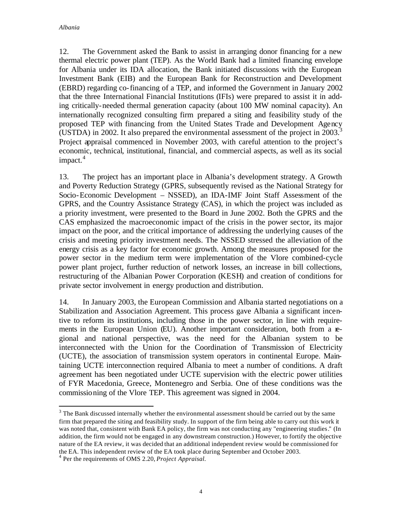12. The Government asked the Bank to assist in arranging donor financing for a new thermal electric power plant (TEP). As the World Bank had a limited financing envelope for Albania under its IDA allocation, the Bank initiated discussions with the European Investment Bank (EIB) and the European Bank for Reconstruction and Development (EBRD) regarding co-financing of a TEP, and informed the Government in January 2002 that the three International Financial Institutions (IFIs) were prepared to assist it in adding critically-needed thermal generation capacity (about 100 MW nominal capacity). An internationally recognized consulting firm prepared a siting and feasibility study of the proposed TEP with financing from the United States Trade and Development Agency (USTDA) in 2002. It also prepared the environmental assessment of the project in  $2003$ <sup>3</sup> Project appraisal commenced in November 2003, with careful attention to the project's economic, technical, institutional, financial, and commercial aspects, as well as its social  $impect.<sup>4</sup>$ 

13. The project has an important place in Albania's development strategy. A Growth and Poverty Reduction Strategy (GPRS, subsequently revised as the National Strategy for Socio-Economic Development – NSSED), an IDA-IMF Joint Staff Assessment of the GPRS, and the Country Assistance Strategy (CAS), in which the project was included as a priority investment, were presented to the Board in June 2002. Both the GPRS and the CAS emphasized the macroeconomic impact of the crisis in the power sector, its major impact on the poor, and the critical importance of addressing the underlying causes of the crisis and meeting priority investment needs. The NSSED stressed the alleviation of the energy crisis as a key factor for economic growth. Among the measures proposed for the power sector in the medium term were implementation of the Vlore combined-cycle power plant project, further reduction of network losses, an increase in bill collections, restructuring of the Albanian Power Corporation (KESH) and creation of conditions for private sector involvement in energy production and distribution.

14. In January 2003, the European Commission and Albania started negotiations on a Stabilization and Association Agreement. This process gave Albania a significant incentive to reform its institutions, including those in the power sector, in line with requirements in the European Union (EU). Another important consideration, both from a regional and national perspective, was the need for the Albanian system to be interconnected with the Union for the Coordination of Transmission of Electricity (UCTE), the association of transmission system operators in continental Europe. Maintaining UCTE interconnection required Albania to meet a number of conditions. A draft agreement has been negotiated under UCTE supervision with the electric power utilities of FYR Macedonia, Greece, Montenegro and Serbia. One of these conditions was the commissioning of the Vlore TEP. This agreement was signed in 2004.

 $\overline{a}$ 

 $3$  The Bank discussed internally whether the environmental assessment should be carried out by the same firm that prepared the siting and feasibility study. In support of the firm being able to carry out this work it was noted that, consistent with Bank EA policy, the firm was not conducting any "engineering studies." (In addition, the firm would not be engaged in any downstream construction.) However, to fortify the objective nature of the EA review, it was decided that an additional independent review would be commissioned for the EA. This independent review of the EA took place during September and October 2003.

<sup>4</sup> Per the requirements of OMS 2.20, *Project Appraisal.*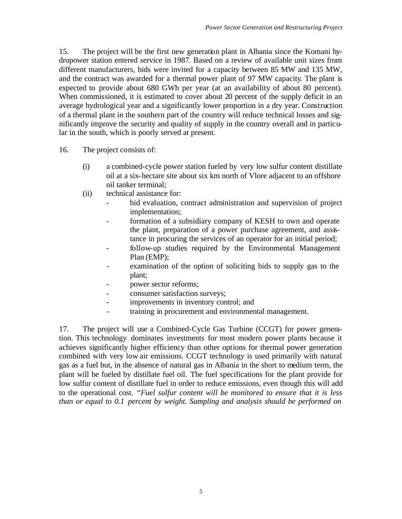15. The project will be the first new generation plant in Albania since the Komani hydropower station entered service in 1987. Based on a review of available unit sizes from different manufacturers, bids were invited for a capacity between 85 MW and 135 MW, and the contract was awarded for a thermal power plant of 97 MW capacity. The plant is expected to provide about 680 GWh per year (at an availability of about 80 percent). When commissioned, it is estimated to cover about 20 percent of the supply deficit in an average hydrological year and a significantly lower proportion in a dry year. Construction of a thermal plant in the southern part of the country will reduce technical losses and significantly improve the security and quality of supply in the country overall and in particular in the south, which is poorly served at present.

- 16. The project consists of:
	- (i) a combined-cycle power station fueled by very low sulfur content distillate oil at a six-hectare site about six km north of Vlore adjacent to an offshore oil tanker terminal;
	- (ii) technical assistance for:
		- bid evaluation, contract administration and supervision of project implementation;
		- formation of a subsidiary company of KESH to own and operate the plant, preparation of a power purchase agreement, and assistance in procuring the services of an operator for an initial period;
		- follow-up studies required by the Environmental Management Plan (EMP);
		- examination of the option of soliciting bids to supply gas to the plant;
		- power sector reforms;
		- consumer satisfaction surveys;
		- improvements in inventory control; and
		- training in procurement and environmental management.

17. The project will use a Combined-Cycle Gas Turbine (CCGT) for power generation. This technology dominates investments for most modern power plants because it achieves significantly higher efficiency than other options for thermal power generation combined with very low air emissions. CCGT technology is used primarily with natural gas as a fuel but, in the absence of natural gas in Albania in the short to medium term, the plant will be fueled by distillate fuel oil. The fuel specifications for the plant provide for low sulfur content of distillate fuel in order to reduce emissions, even though this will add to the operational cost. *"Fuel sulfur content will be monitored to ensure that it is less than or equal to 0.1 percent by weight. Sampling and analysis should be performed on*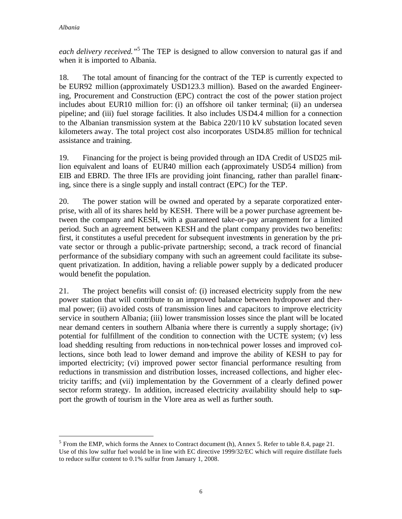$\overline{a}$ 

*each delivery received."*<sup>5</sup> The TEP is designed to allow conversion to natural gas if and when it is imported to Albania.

18. The total amount of financing for the contract of the TEP is currently expected to be EUR92 million (approximately USD123.3 million). Based on the awarded Engineering, Procurement and Construction (EPC) contract the cost of the power station project includes about EUR10 million for: (i) an offshore oil tanker terminal; (ii) an undersea pipeline; and (iii) fuel storage facilities. It also includes USD4.4 million for a connection to the Albanian transmission system at the Babica 220/110 kV substation located seven kilometers away. The total project cost also incorporates USD4.85 million for technical assistance and training.

19. Financing for the project is being provided through an IDA Credit of USD25 million equivalent and loans of EUR40 million each (approximately USD54 million) from EIB and EBRD. The three IFIs are providing joint financing, rather than parallel financing, since there is a single supply and install contract (EPC) for the TEP.

20. The power station will be owned and operated by a separate corporatized enterprise, with all of its shares held by KESH. There will be a power purchase agreement between the company and KESH, with a guaranteed take-or-pay arrangement for a limited period. Such an agreement between KESH and the plant company provides two benefits: first, it constitutes a useful precedent for subsequent investments in generation by the private sector or through a public-private partnership; second, a track record of financial performance of the subsidiary company with such an agreement could facilitate its subsequent privatization. In addition, having a reliable power supply by a dedicated producer would benefit the population.

21. The project benefits will consist of: (i) increased electricity supply from the new power station that will contribute to an improved balance between hydropower and thermal power; (ii) avoided costs of transmission lines and capacitors to improve electricity service in southern Albania; (iii) lower transmission losses since the plant will be located near demand centers in southern Albania where there is currently a supply shortage; (iv) potential for fulfillment of the condition to connection with the UCTE system; (v) less load shedding resulting from reductions in non-technical power losses and improved collections, since both lead to lower demand and improve the ability of KESH to pay for imported electricity; (vi) improved power sector financial performance resulting from reductions in transmission and distribution losses, increased collections, and higher electricity tariffs; and (vii) implementation by the Government of a clearly defined power sector reform strategy. In addition, increased electricity availability should help to support the growth of tourism in the Vlore area as well as further south.

 $<sup>5</sup>$  From the EMP, which forms the Annex to Contract document (h), Annex 5. Refer to table 8.4, page 21.</sup> Use of this low sulfur fuel would be in line with EC directive 1999/32/EC which will require distillate fuels to reduce sulfur content to 0.1% sulfur from January 1, 2008.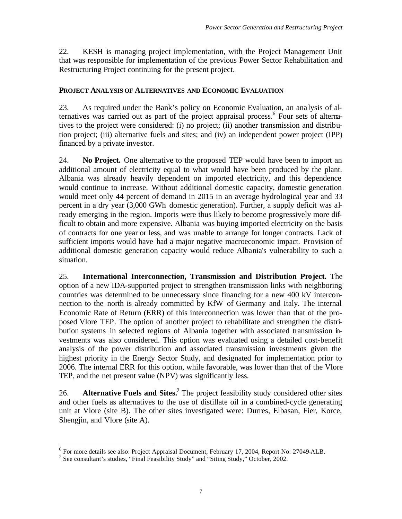22. KESH is managing project implementation, with the Project Management Unit that was responsible for implementation of the previous Power Sector Rehabilitation and Restructuring Project continuing for the present project.

#### **PROJECT ANALYSIS OF ALTERNATIVES AND ECONOMIC EVALUATION**

23. As required under the Bank's policy on Economic Evaluation, an ana lysis of alternatives was carried out as part of the project appraisal process. 6 Four sets of alternatives to the project were considered: (i) no project; (ii) another transmission and distribution project; (iii) alternative fuels and sites; and (iv) an independent power project (IPP) financed by a private investor.

24. **No Project.** One alternative to the proposed TEP would have been to import an additional amount of electricity equal to what would have been produced by the plant. Albania was already heavily dependent on imported electricity, and this dependence would continue to increase. Without additional domestic capacity, domestic generation would meet only 44 percent of demand in 2015 in an average hydrological year and 33 percent in a dry year (3,000 GWh domestic generation). Further, a supply deficit was already emerging in the region. Imports were thus likely to become progressively more difficult to obtain and more expensive. Albania was buying imported electricity on the basis of contracts for one year or less, and was unable to arrange for longer contracts. Lack of sufficient imports would have had a major negative macroeconomic impact. Provision of additional domestic generation capacity would reduce Albania's vulnerability to such a situation.

25. **International Interconnection, Transmission and Distribution Project.** The option of a new IDA-supported project to strengthen transmission links with neighboring countries was determined to be unnecessary since financing for a new 400 kV interconnection to the north is already committed by KfW of Germany and Italy. The internal Economic Rate of Return (ERR) of this interconnection was lower than that of the proposed Vlore TEP. The option of another project to rehabilitate and strengthen the distribution systems in selected regions of Albania together with associated transmission investments was also considered. This option was evaluated using a detailed cost-benefit analysis of the power distribution and associated transmission investments given the highest priority in the Energy Sector Study, and designated for implementation prior to 2006. The internal ERR for this option, while favorable, was lower than that of the Vlore TEP, and the net present value (NPV) was significantly less.

26. **Alternative Fuels and Sites. <sup>7</sup>** The project feasibility study considered other sites and other fuels as alternatives to the use of distillate oil in a combined-cycle generating unit at Vlore (site B). The other sites investigated were: Durres, Elbasan, Fier, Korce, Shengjin, and Vlore (site A).

 $\overline{a}$ 

<sup>&</sup>lt;sup>6</sup> For more details see also: Project Appraisal Document, February 17, 2004, Report No: 27049-ALB.

<sup>&</sup>lt;sup>7</sup> See consultant's studies, "Final Feasibility Study" and "Siting Study," October, 2002.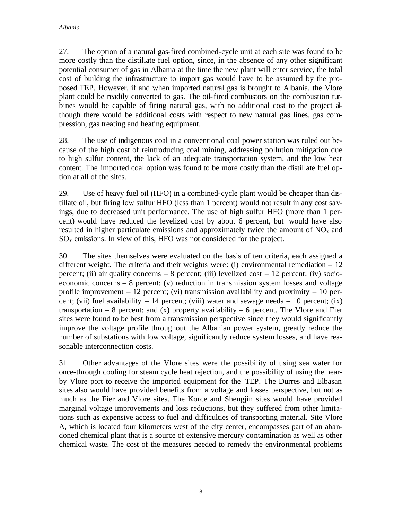27. The option of a natural gas-fired combined-cycle unit at each site was found to be more costly than the distillate fuel option, since, in the absence of any other significant potential consumer of gas in Albania at the time the new plant will enter service, the total cost of building the infrastructure to import gas would have to be assumed by the proposed TEP. However, if and when imported natural gas is brought to Albania, the Vlore plant could be readily converted to gas. The oil-fired combustors on the combustion turbines would be capable of firing natural gas, with no additional cost to the project although there would be additional costs with respect to new natural gas lines, gas compression, gas treating and heating equipment.

28. The use of indigenous coal in a conventional coal power station was ruled out because of the high cost of reintroducing coal mining, addressing pollution mitigation due to high sulfur content, the lack of an adequate transportation system, and the low heat content. The imported coal option was found to be more costly than the distillate fuel option at all of the sites.

29. Use of heavy fuel oil (HFO) in a combined-cycle plant would be cheaper than distillate oil, but firing low sulfur HFO (less than 1 percent) would not result in any cost savings, due to decreased unit performance. The use of high sulfur HFO (more than 1 percent) would have reduced the levelized cost by about 6 percent, but would have also resulted in higher particulate emissions and approximately twice the amount of  $NO<sub>x</sub>$  and  $SO<sub>x</sub>$  emissions. In view of this, HFO was not considered for the project.

30. The sites themselves were evaluated on the basis of ten criteria, each assigned a different weight. The criteria and their weights were: (i) environmental remediation  $-12$ percent; (ii) air quality concerns  $-8$  percent; (iii) levelized cost  $-12$  percent; (iv) socioeconomic concerns – 8 percent; (v) reduction in transmission system losses and voltage profile improvement  $-12$  percent; (vi) transmission availability and proximity  $-10$  percent; (vii) fuel availability  $-14$  percent; (viii) water and sewage needs  $-10$  percent; (ix) transportation  $-8$  percent; and (x) property availability  $-6$  percent. The Vlore and Fier sites were found to be best from a transmission perspective since they would significantly improve the voltage profile throughout the Albanian power system, greatly reduce the number of substations with low voltage, significantly reduce system losses, and have reasonable interconnection costs.

31. Other advantages of the Vlore sites were the possibility of using sea water for once-through cooling for steam cycle heat rejection, and the possibility of using the nearby Vlore port to receive the imported equipment for the TEP. The Durres and Elbasan sites also would have provided benefits from a voltage and losses perspective, but not as much as the Fier and Vlore sites. The Korce and Shengjin sites would have provided marginal voltage improvements and loss reductions, but they suffered from other limitations such as expensive access to fuel and difficulties of transporting material. Site Vlore A, which is located four kilometers west of the city center, encompasses part of an abandoned chemical plant that is a source of extensive mercury contamination as well as other chemical waste. The cost of the measures needed to remedy the environmental problems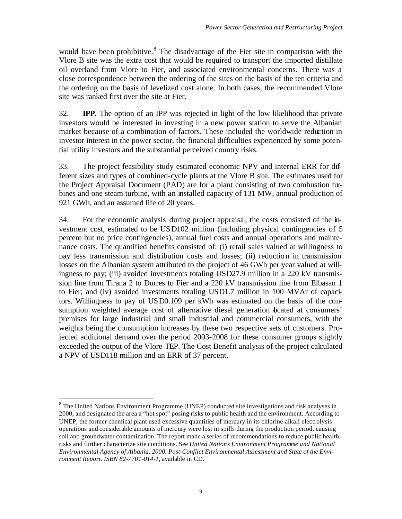would have been prohibitive.<sup>8</sup> The disadvantage of the Fier site in comparison with the Vlore B site was the extra cost that would be required to transport the imported distillate oil overland from Vlore to Fier, and associated environmental concerns. There was a close correspondence between the ordering of the sites on the basis of the ten criteria and the ordering on the basis of levelized cost alone. In both cases, the recommended Vlore site was ranked first over the site at Fier.

32. **IPP.** The option of an IPP was rejected in light of the low likelihood that private investors would be interested in investing in a new power station to serve the Albanian market because of a combination of factors. These included the worldwide reduction in investor interest in the power sector, the financial difficulties experienced by some potential utility investors and the substantial perceived country risks.

33. The project feasibility study estimated economic NPV and internal ERR for different sizes and types of combined-cycle plants at the Vlore B site. The estimates used for the Project Appraisal Document (PAD) are for a plant consisting of two combustion turbines and one steam turbine, with an installed capacity of 131 MW, annual production of 921 GWh, and an assumed life of 20 years.

34. For the economic analysis during project appraisal, the costs consisted of the investment cost, estimated to be USD102 million (including physical contingencies of 5 percent but no price contingencies), annual fuel costs and annual operations and maintenance costs. The quantified benefits consisted of: (i) retail sales valued at willingness to pay less transmission and distribution costs and losses; (ii) reduction in transmission losses on the Albanian system attributed to the project of 46 GWh per year valued at willingness to pay; (iii) avoided investments totaling USD27.9 million in a 220 kV transmission line from Tirana 2 to Durres to Fier and a 220 kV transmission line from Elbasan 1 to Fier; and (iv) avoided investments totaling USD1.7 million in 100 MVAr of capacitors. Willingness to pay of USD0.109 per kWh was estimated on the basis of the consumption weighted average cost of alternative diesel generation beated at consumers' premises for large industrial and small industrial and commercial consumers, with the weights being the consumption increases by these two respective sets of customers. Projected additional demand over the period 2003-2008 for these consumer groups slightly exceeded the output of the Vlore TEP. The Cost Benefit analysis of the project calculated a NPV of USD118 million and an ERR of 37 percent.

 $\overline{a}$  $8$  The United Nations Environment Programme (UNEP) conducted site investigations and risk analyses in 2000, and designated the area a "hot spot" posing risks to public health and the environment. According to UNEP, the former chemical plant used excessive quantities of mercury in its chlorine-alkali electrolysis operations and considerable amounts of mercury were lost in spills during the production period, causing soil and groundwater contamination. The report made a series of recommendations to reduce public health risks and further characterize site conditions. See *United Nations Environment Programme and National Environmental Agency of Albania, 2000. Post-Conflict Environmental Assessment and State of the Environment Report. ISBN 82-7701-014-1,* available in CD.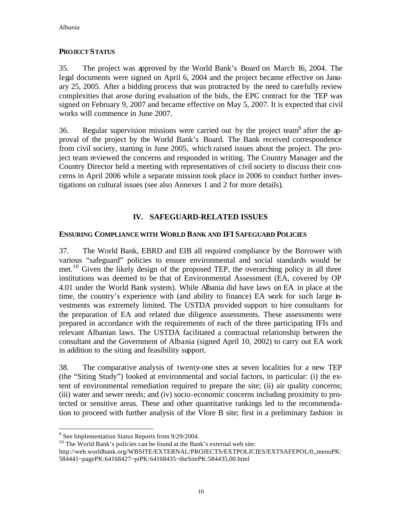#### **PROJECT STATUS**

35. The project was approved by the World Bank's Board on March 16, 2004. The legal documents were signed on April 6, 2004 and the project became effective on January 25, 2005. After a bidding process that was protracted by the need to carefully review complexities that arose during evaluation of the bids, the EPC contract for the TEP was signed on February 9, 2007 and became effective on May 5, 2007. It is expected that civil works will commence in June 2007.

36. Regular supervision missions were carried out by the project team<sup>9</sup> after the approval of the project by the World Bank's Board. The Bank received correspondence from civil society, starting in June 2005, which raised issues about the project. The project team reviewed the concerns and responded in writing. The Country Manager and the Country Director held a meeting with representatives of civil society to discuss their concerns in April 2006 while a separate mission took place in 2006 to conduct further investigations on cultural issues (see also Annexes 1 and 2 for more details).

# **IV. SAFEGUARD-RELATED ISSUES**

### **ENSURING COMPLIANCE WITH WORLD BANK AND IFI SAFEGUARD POLICIES**

37. The World Bank, EBRD and EIB all required compliance by the Borrower with various "safeguard" policies to ensure environmental and social standards would be met.<sup>10</sup> Given the likely design of the proposed TEP, the overarching policy in all three institutions was deemed to be that of Environmental Assessment (EA, covered by OP 4.01 under the World Bank system). While Albania did have laws on EA in place at the time, the country's experience with (and ability to finance) EA work for such large investments was extremely limited. The USTDA provided support to hire consultants for the preparation of EA and related due diligence assessments. These assessments were prepared in accordance with the requirements of each of the three participating IFIs and relevant Albanian laws. The USTDA facilitated a contractual relationship between the consultant and the Government of Albania (signed April 10, 2002) to carry out EA work in addition to the siting and feasibility support.

38. The comparative analysis of twenty-one sites at seven localities for a new TEP (the "Siting Study") looked at environmental and social factors, in particular: (i) the extent of environmental remediation required to prepare the site; (ii) air quality concerns; (iii) water and sewer needs; and (iv) socio-economic concerns including proximity to protected or sensitive areas. These and other quantitative rankings led to the recommendation to proceed with further analysis of the Vlore B site; first in a preliminary fashion in

 $\overline{a}$ 

<sup>&</sup>lt;sup>9</sup> See Implementation Status Reports from 9/29/2004.

<sup>&</sup>lt;sup>10</sup> The World Bank's policies can be found at the Bank's external web site:

http://web.worldbank.org/WBSITE/EXTERNAL/PROJECTS/EXTPOLICIES/EXTSAFEPOL/0,,menuPK: 584441~pagePK:64168427~piPK:64168435~theSitePK:584435,00.html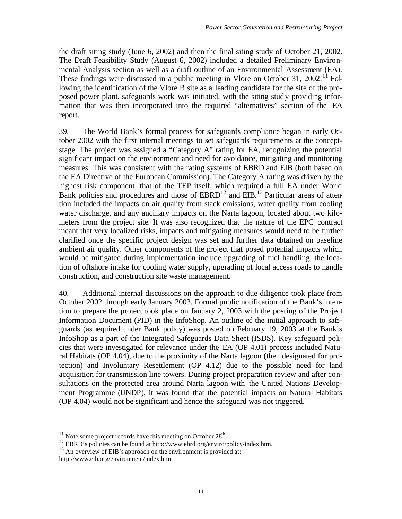the draft siting study (June 6, 2002) and then the final siting study of October 21, 2002. The Draft Feasibility Study (August 6, 2002) included a detailed Preliminary Environmental Analysis section as well as a draft outline of an Environmental Assessment (EA). These findings were discussed in a public meeting in Vlore on October 31, 2002.<sup>11</sup> Following the identification of the Vlore B site as a leading candidate for the site of the proposed power plant, safeguards work was initiated, with the siting study providing information that was then incorporated into the required "alternatives" section of the EA report.

39. The World Bank's formal process for safeguards compliance began in early October 2002 with the first internal meetings to set safeguards requirements at the conceptstage. The project was assigned a "Category A" rating for EA, recognizing the potential significant impact on the environment and need for avoidance, mitigating and monitoring measures. This was consistent with the rating systems of EBRD and EIB (both based on the EA Directive of the European Commission). The Category A rating was driven by the highest risk component, that of the TEP itself, which required a full EA under World Bank policies and procedures and those of  $EBRD<sup>12</sup>$  and  $EIB$ .<sup>13</sup> Particular areas of attention included the impacts on air quality from stack emissions, water quality from cooling water discharge, and any ancillary impacts on the Narta lagoon, located about two kilometers from the project site. It was also recognized that the nature of the EPC contract meant that very localized risks, impacts and mitigating measures would need to be further clarified once the specific project design was set and further data obtained on baseline ambient air quality. Other components of the project that posed potential impacts which would be mitigated during implementation include upgrading of fuel handling, the location of offshore intake for cooling water supply, upgrading of local access roads to handle construction, and construction site waste management.

40. Additional internal discussions on the approach to due diligence took place from October 2002 through early January 2003. Formal public notification of the Bank's intention to prepare the project took place on January 2, 2003 with the posting of the Project Information Document (PID) in the InfoShop. An outline of the initial approach to safeguards (as required under Bank policy) was posted on February 19, 2003 at the Bank's InfoShop as a part of the Integrated Safeguards Data Sheet (ISDS). Key safeguard policies that were investigated for relevance under the EA (OP 4.01) process included Natural Habitats (OP 4.04), due to the proximity of the Narta lagoon (then designated for protection) and Involuntary Resettlement (OP 4.12) due to the possible need for land acquisition for transmission line towers. During project preparation review and after consultations on the protected area around Narta lagoon with the United Nations Development Programme (UNDP), it was found that the potential impacts on Natural Habitats (OP 4.04) would not be significant and hence the safeguard was not triggered.

 $\overline{a}$ 

 $11$  Note some project records have this meeting on October 28<sup>th</sup>.

<sup>&</sup>lt;sup>12</sup> EBRD's policies can be found at http://www.ebrd.org/enviro/policy/index.htm.

 $13$  An overview of EIB's approach on the environment is provided at:

http://www.eib.org/environment/index.htm.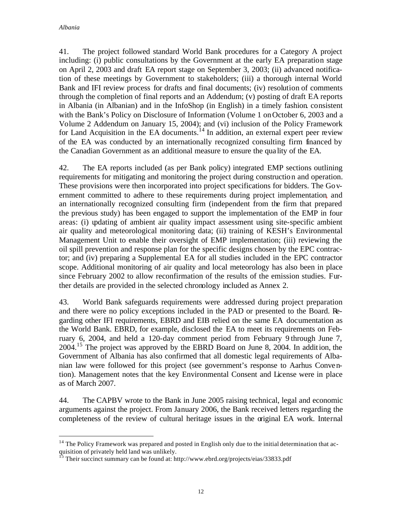$\overline{a}$ 

41. The project followed standard World Bank procedures for a Category A project including: (i) public consultations by the Government at the early EA preparation stage on April 2, 2003 and draft EA report stage on September 3, 2003; (ii) advanced notification of these meetings by Government to stakeholders; (iii) a thorough internal World Bank and IFI review process for drafts and final documents; (iv) resolution of comments through the completion of final reports and an Addendum; (v) posting of draft EA reports in Albania (in Albanian) and in the InfoShop (in English) in a timely fashion. consistent with the Bank's Policy on Disclosure of Information (Volume 1 on October 6, 2003 and a Volume 2 Addendum on January 15, 2004); and (vi) inclusion of the Policy Framework for Land Acquisition in the EA documents.<sup>14</sup> In addition, an external expert peer review of the EA was conducted by an internationally recognized consulting firm financed by the Canadian Government as an additional measure to ensure the qua lity of the EA.

42. The EA reports included (as per Bank policy) integrated EMP sections outlining requirements for mitigating and monitoring the project during construction and operation. These provisions were then incorporated into project specifications for bidders. The Government committed to adhere to these requirements during project implementation, and an internationally recognized consulting firm (independent from the firm that prepared the previous study) has been engaged to support the implementation of the EMP in four areas: (i) updating of ambient air quality impact assessment using site-specific ambient air quality and meteorological monitoring data; (ii) training of KESH's Environmental Management Unit to enable their oversight of EMP implementation; (iii) reviewing the oil spill prevention and response plan for the specific designs chosen by the EPC contractor; and (iv) preparing a Supplemental EA for all studies included in the EPC contractor scope. Additional monitoring of air quality and local meteorology has also been in place since February 2002 to allow reconfirmation of the results of the emission studies. Further details are provided in the selected chronology included as Annex 2.

43. World Bank safeguards requirements were addressed during project preparation and there were no policy exceptions included in the PAD or presented to the Board. Regarding other IFI requirements, EBRD and EIB relied on the same EA documentation as the World Bank. EBRD, for example, disclosed the EA to meet its requirements on February 6, 2004, and held a 120-day comment period from February 9 through June 7, 2004.<sup>15</sup> The project was approved by the EBRD Board on June 8, 2004. In addition, the Government of Albania has also confirmed that all domestic legal requirements of Albanian law were followed for this project (see government's response to Aarhus Convention). Management notes that the key Environmental Consent and License were in place as of March 2007.

44. The CAPBV wrote to the Bank in June 2005 raising technical, legal and economic arguments against the project. From January 2006, the Bank received letters regarding the completeness of the review of cultural heritage issues in the original EA work. Internal

 $14$  The Policy Framework was prepared and posted in English only due to the initial determination that acquisition of privately held land was unlikely.

<sup>&</sup>lt;sup>15</sup> Their succinct summary can be found at: http://www.ebrd.org/projects/eias/33833.pdf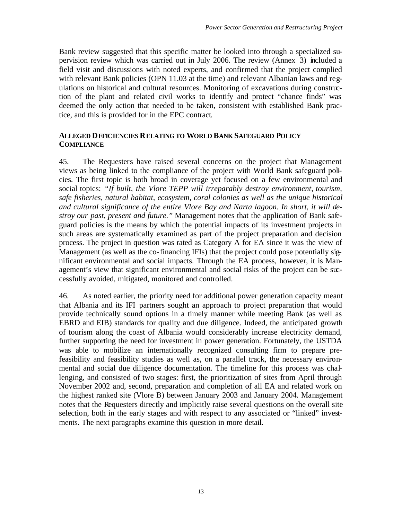Bank review suggested that this specific matter be looked into through a specialized supervision review which was carried out in July 2006. The review (Annex 3) included a field visit and discussions with noted experts, and confirmed that the project complied with relevant Bank policies (OPN 11.03 at the time) and relevant Albanian laws and regulations on historical and cultural resources. Monitoring of excavations during construction of the plant and related civil works to identify and protect "chance finds" was deemed the only action that needed to be taken, consistent with established Bank practice, and this is provided for in the EPC contract.

#### **ALLEGED DEFICIENCIES RELATING TO WORLD BANK SAFEGUARD POLICY COMPLIANCE**

45. The Requesters have raised several concerns on the project that Management views as being linked to the compliance of the project with World Bank safeguard policies. The first topic is both broad in coverage yet focused on a few environmental and social topics: *"If built, the Vlore TEPP will irreparably destroy environment, tourism, safe fisheries, natural habitat, ecosystem, coral colonies as well as the unique historical and cultural significance of the entire Vlore Bay and Narta lagoon. In short, it will destroy our past, present and future."* Management notes that the application of Bank safeguard policies is the means by which the potential impacts of its investment projects in such areas are systematically examined as part of the project preparation and decision process. The project in question was rated as Category A for EA since it was the view of Management (as well as the co-financing IFIs) that the project could pose potentially significant environmental and social impacts. Through the EA process, however, it is Management's view that significant environmental and social risks of the project can be successfully avoided, mitigated, monitored and controlled.

46. As noted earlier, the priority need for additional power generation capacity meant that Albania and its IFI partners sought an approach to project preparation that would provide technically sound options in a timely manner while meeting Bank (as well as EBRD and EIB) standards for quality and due diligence. Indeed, the anticipated growth of tourism along the coast of Albania would considerably increase electricity demand, further supporting the need for investment in power generation. Fortunately, the USTDA was able to mobilize an internationally recognized consulting firm to prepare prefeasibility and feasibility studies as well as, on a parallel track, the necessary environmental and social due diligence documentation. The timeline for this process was challenging, and consisted of two stages: first, the prioritization of sites from April through November 2002 and, second, preparation and completion of all EA and related work on the highest ranked site (Vlore B) between January 2003 and January 2004. Management notes that the Requesters directly and implicitly raise several questions on the overall site selection, both in the early stages and with respect to any associated or "linked" investments. The next paragraphs examine this question in more detail.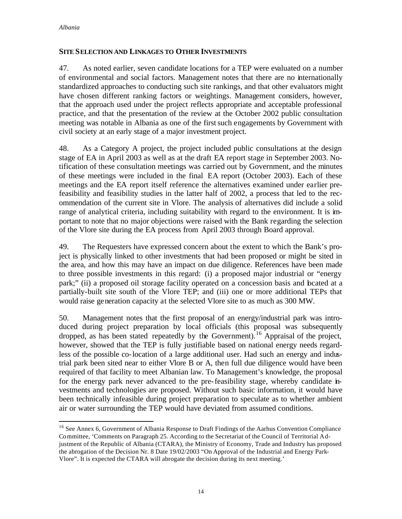$\overline{a}$ 

#### **SITE SELECTION AND LINKAGES TO OTHER INVESTMENTS**

47. As noted earlier, seven candidate locations for a TEP were evaluated on a number of environmental and social factors. Management notes that there are no internationally standardized approaches to conducting such site rankings, and that other evaluators might have chosen different ranking factors or weightings. Management considers, however, that the approach used under the project reflects appropriate and acceptable professional practice, and that the presentation of the review at the October 2002 public consultation meeting was notable in Albania as one of the first such engagements by Government with civil society at an early stage of a major investment project.

48. As a Category A project, the project included public consultations at the design stage of EA in April 2003 as well as at the draft EA report stage in September 2003. Notification of these consultation meetings was carried out by Government, and the minutes of these meetings were included in the final EA report (October 2003). Each of these meetings and the EA report itself reference the alternatives examined under earlier prefeasibility and feasibility studies in the latter half of 2002, a process that led to the recommendation of the current site in Vlore. The analysis of alternatives did include a solid range of analytical criteria, including suitability with regard to the environment. It is important to note that no major objections were raised with the Bank regarding the selection of the Vlore site during the EA process from April 2003 through Board approval.

49. The Requesters have expressed concern about the extent to which the Bank's project is physically linked to other investments that had been proposed or might be sited in the area, and how this may have an impact on due diligence. References have been made to three possible investments in this regard: (i) a proposed major industrial or "energy park;" (ii) a proposed oil storage facility operated on a concession basis and bcated at a partially-built site south of the Vlore TEP; and (iii) one or more additional TEPs that would raise generation capacity at the selected Vlore site to as much as 300 MW.

50. Management notes that the first proposal of an energy/industrial park was introduced during project preparation by local officials (this proposal was subsequently dropped, as has been stated repeatedly by the Government).<sup>16</sup> Appraisal of the project, however, showed that the TEP is fully justifiable based on national energy needs regardless of the possible co-location of a large additional user. Had such an energy and industrial park been sited near to either Vlore B or A, then full due diligence would have been required of that facility to meet Albanian law. To Management's knowledge, the proposal for the energy park never advanced to the pre-feasibility stage, whereby candidate investments and technologies are proposed. Without such basic information, it would have been technically infeasible during project preparation to speculate as to whether ambient air or water surrounding the TEP would have deviated from assumed conditions.

<sup>&</sup>lt;sup>16</sup> See Annex 6, Government of Albania Response to Draft Findings of the Aarhus Convention Compliance Committee, 'Comments on Paragraph 25. According to the Secretariat of the Council of Territorial Adjustment of the Republic of Albania (CTARA), the Ministry of Economy, Trade and Industry has proposed the abrogation of the Decision Nr. 8 Date 19/02/2003 "On Approval of the Industrial and Energy Park-Vlore". It is expected the CTARA will abrogate the decision during its next meeting.'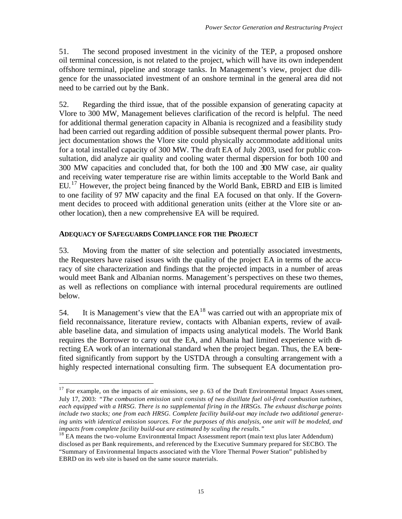51. The second proposed investment in the vicinity of the TEP, a proposed onshore oil terminal concession, is not related to the project, which will have its own independent offshore terminal, pipeline and storage tanks. In Management's view, project due diligence for the unassociated investment of an onshore terminal in the general area did not need to be carried out by the Bank.

52. Regarding the third issue, that of the possible expansion of generating capacity at Vlore to 300 MW, Management believes clarification of the record is helpful. The need for additional thermal generation capacity in Albania is recognized and a feasibility study had been carried out regarding addition of possible subsequent thermal power plants. Project documentation shows the Vlore site could physically accommodate additional units for a total installed capacity of 300 MW. The draft EA of July 2003, used for public consultation, did analyze air quality and cooling water thermal dispersion for both 100 and 300 MW capacities and concluded that, for both the 100 and 300 MW case, air quality and receiving water temperature rise are within limits acceptable to the World Bank and EU.<sup>17</sup> However, the project being financed by the World Bank, EBRD and EIB is limited to one facility of 97 MW capacity and the final EA focused on that only. If the Government decides to proceed with additional generation units (either at the Vlore site or another location), then a new comprehensive EA will be required.

#### **ADEQUACY OF SAFEGUARDS COMPLIANCE FOR THE PROJECT**

 $\overline{a}$ 

53. Moving from the matter of site selection and potentially associated investments, the Requesters have raised issues with the quality of the project EA in terms of the accuracy of site characterization and findings that the projected impacts in a number of areas would meet Bank and Albanian norms. Management's perspectives on these two themes, as well as reflections on compliance with internal procedural requirements are outlined below.

54. It is Management's view that the  $EA^{18}$  was carried out with an appropriate mix of field reconnaissance, literature review, contacts with Albanian experts, review of available baseline data, and simulation of impacts using analytical models. The World Bank requires the Borrower to carry out the EA, and Albania had limited experience with directing EA work of an international standard when the project began. Thus, the EA benefited significantly from support by the USTDA through a consulting arrangement with a highly respected international consulting firm. The subsequent EA documentation pro-

 $17$  For example, on the impacts of air emissions, see p. 63 of the Draft Environmental Impact Asses sment, July 17, 2003: *"The combustion emission unit consists of two distillate fuel oil-fired combustion turbines, each equipped with a HRSG. There is no supplemental firing in the HRSGs. The exhaust discharge points include two stacks; one from each HRSG. Complete facility build-out may include two additional generating units with identical emission sources. For the purposes of this analysis, one unit will be modeled, and impacts from complete facility build-out are estimated by scaling the results."* 

 $18$  EA means the two-volume Environmental Impact Assessment report (main text plus later Addendum) disclosed as per Bank requirements, and referenced by the Executive Summary prepared for SECBO. The "Summary of Environmental Impacts associated with the Vlore Thermal Power Station" published by EBRD on its web site is based on the same source materials.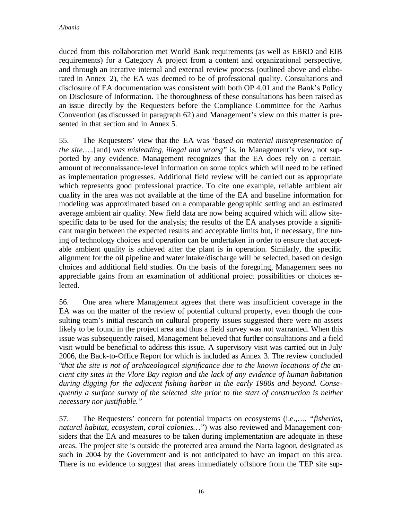duced from this collaboration met World Bank requirements (as well as EBRD and EIB requirements) for a Category A project from a content and organizational perspective, and through an iterative internal and external review process (outlined above and elaborated in Annex 2), the EA was deemed to be of professional quality. Consultations and disclosure of EA documentation was consistent with both OP 4.01 and the Bank's Policy on Disclosure of Information. The thoroughness of these consultations has been raised as an issue directly by the Requesters before the Compliance Committee for the Aarhus Convention (as discussed in paragraph 62) and Management's view on this matter is presented in that section and in Annex 5.

55. The Requesters' view that the EA was "*based on material misrepresentation of the site*…..[and] *was misleading, illegal and wrong*" is, in Management's view, not supported by any evidence. Management recognizes that the EA does rely on a certain amount of reconnaissance-level information on some topics which will need to be refined as implementation progresses. Additional field review will be carried out as appropriate which represents good professional practice. To cite one example, reliable ambient air quality in the area was not available at the time of the EA and baseline information for modeling was approximated based on a comparable geographic setting and an estimated average ambient air quality. New field data are now being acquired which will allow sitespecific data to be used for the analysis; the results of the EA analyses provide a significant margin between the expected results and acceptable limits but, if necessary, fine tuning of technology choices and operation can be undertaken in order to ensure that acceptable ambient quality is achieved after the plant is in operation. Similarly, the specific alignment for the oil pipeline and water intake/discharge will be selected, based on design choices and additional field studies. On the basis of the foregoing, Management sees no appreciable gains from an examination of additional project possibilities or choices selected.

56. One area where Management agrees that there was insufficient coverage in the EA was on the matter of the review of potential cultural property, even though the consulting team's initial research on cultural property issues suggested there were no assets likely to be found in the project area and thus a field survey was not warranted. When this issue was subsequently raised, Management believed that further consultations and a field visit would be beneficial to address this issue. A supervisory visit was carried out in July 2006, the Back-to-Office Report for which is included as Annex 3. The review concluded "*that the site is not of archaeological significance due to the known locations of the ancient city sites in the Vlore Bay region and the lack of any evidence of human habitation during digging for the adjacent fishing harbor in the early 1980s and beyond. Consequently a surface survey of the selected site prior to the start of construction is neither necessary nor justifiable."* 

57. The Requesters' concern for potential impacts on ecosystems (i.e.,*…. "fisheries, natural habitat, ecosystem, coral colonies…*") was also reviewed and Management considers that the EA and measures to be taken during implementation are adequate in these areas. The project site is outside the protected area around the Narta lagoon, designated as such in 2004 by the Government and is not anticipated to have an impact on this area. There is no evidence to suggest that areas immediately offshore from the TEP site sup-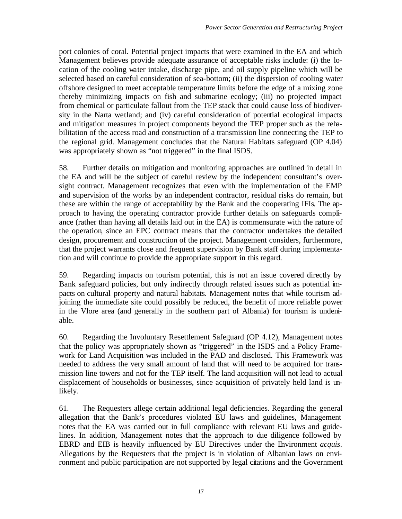port colonies of coral. Potential project impacts that were examined in the EA and which Management believes provide adequate assurance of acceptable risks include: (i) the location of the cooling water intake, discharge pipe, and oil supply pipeline which will be selected based on careful consideration of sea-bottom; (ii) the dispersion of cooling water offshore designed to meet acceptable temperature limits before the edge of a mixing zone thereby minimizing impacts on fish and submarine ecology; (iii) no projected impact from chemical or particulate fallout from the TEP stack that could cause loss of biodiversity in the Narta wetland; and (iv) careful consideration of potential ecological impacts and mitigation measures in project components beyond the TEP proper such as the rehabilitation of the access road and construction of a transmission line connecting the TEP to the regional grid. Management concludes that the Natural Habitats safeguard (OP 4.04) was appropriately shown as "not triggered" in the final ISDS.

58. Further details on mitigation and monitoring approaches are outlined in detail in the EA and will be the subject of careful review by the independent consultant's oversight contract. Management recognizes that even with the implementation of the EMP and supervision of the works by an independent contractor, residual risks do remain, but these are within the range of acceptability by the Bank and the cooperating IFIs. The approach to having the operating contractor provide further details on safeguards compliance (rather than having all details laid out in the EA) is commensurate with the nature of the operation, since an EPC contract means that the contractor undertakes the detailed design, procurement and construction of the project. Management considers, furthermore, that the project warrants close and frequent supervision by Bank staff during implementation and will continue to provide the appropriate support in this regard.

59. Regarding impacts on tourism potential, this is not an issue covered directly by Bank safeguard policies, but only indirectly through related issues such as potential impacts on cultural property and natural habitats. Management notes that while tourism adjoining the immediate site could possibly be reduced, the benefit of more reliable power in the Vlore area (and generally in the southern part of Albania) for tourism is undeniable.

60. Regarding the Involuntary Resettlement Safeguard (OP 4.12), Management notes that the policy was appropriately shown as "triggered" in the ISDS and a Policy Framework for Land Acquisition was included in the PAD and disclosed. This Framework was needed to address the very small amount of land that will need to be acquired for transmission line towers and not for the TEP itself. The land acquisition will not lead to actual displacement of households or businesses, since acquisition of privately held land is unlikely.

61. The Requesters allege certain additional legal deficiencies. Regarding the general allegation that the Bank's procedures violated EU laws and guidelines, Management notes that the EA was carried out in full compliance with relevant EU laws and guidelines. In addition, Management notes that the approach to due diligence followed by EBRD and EIB is heavily influenced by EU Directives under the Environment *acquis*. Allegations by the Requesters that the project is in violation of Albanian laws on environment and public participation are not supported by legal citations and the Government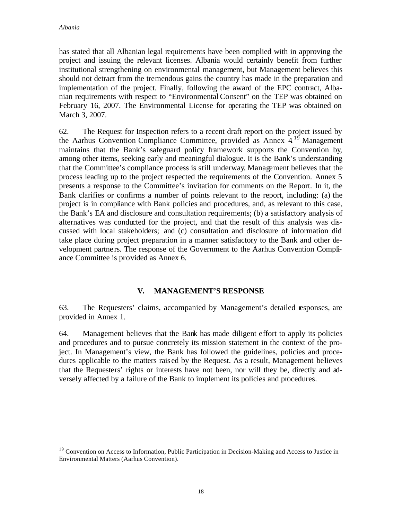$\overline{a}$ 

has stated that all Albanian legal requirements have been complied with in approving the project and issuing the relevant licenses. Albania would certainly benefit from further institutional strengthening on environmental management, but Management believes this should not detract from the tremendous gains the country has made in the preparation and implementation of the project. Finally, following the award of the EPC contract, Albanian requirements with respect to "Environmental Consent" on the TEP was obtained on February 16, 2007. The Environmental License for operating the TEP was obtained on March 3, 2007.

62. The Request for Inspection refers to a recent draft report on the project issued by the Aarhus Convention Compliance Committee, provided as Annex  $4^{19}$  Management maintains that the Bank's safeguard policy framework supports the Convention by, among other items, seeking early and meaningful dialogue. It is the Bank's understanding that the Committee's compliance process is still underway. Management believes that the process leading up to the project respected the requirements of the Convention. Annex 5 presents a response to the Committee's invitation for comments on the Report. In it, the Bank clarifies or confirms a number of points relevant to the report, including: (a) the project is in compliance with Bank policies and procedures, and, as relevant to this case, the Bank's EA and disclosure and consultation requirements; (b) a satisfactory analysis of alternatives was conducted for the project, and that the result of this analysis was discussed with local stakeholders; and (c) consultation and disclosure of information did take place during project preparation in a manner satisfactory to the Bank and other development partne rs. The response of the Government to the Aarhus Convention Compliance Committee is provided as Annex 6.

### **V. MANAGEMENT'S RESPONSE**

63. The Requesters' claims, accompanied by Management's detailed responses, are provided in Annex 1.

64. Management believes that the Bank has made diligent effort to apply its policies and procedures and to pursue concretely its mission statement in the context of the project. In Management's view, the Bank has followed the guidelines, policies and procedures applicable to the matters rais ed by the Request. As a result, Management believes that the Requesters' rights or interests have not been, nor will they be, directly and adversely affected by a failure of the Bank to implement its policies and procedures.

<sup>&</sup>lt;sup>19</sup> Convention on Access to Information, Public Participation in Decision-Making and Access to Justice in Environmental Matters (Aarhus Convention).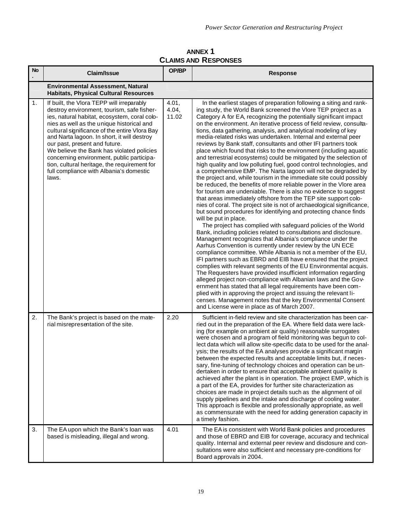**ANNEX 1 CLAIMS AND RESPONSES**

| <b>No</b> | <b>Claim/Issue</b>                                                                                                                                                                                                                                                                                                                                                                                                                                                                                                  | OP/BP                   | <b>Response</b>                                                                                                                                                                                                                                                                                                                                                                                                                                                                                                                                                                                                                                                                                                                                                                                                                                                                                                                                                                                                                                                                                                                                                                                                                                                                                                                                                                                                                                                                                                                                                                                                                                                                                                                                                                                                                                                                                                                                                                                                                                                                                      |  |  |
|-----------|---------------------------------------------------------------------------------------------------------------------------------------------------------------------------------------------------------------------------------------------------------------------------------------------------------------------------------------------------------------------------------------------------------------------------------------------------------------------------------------------------------------------|-------------------------|------------------------------------------------------------------------------------------------------------------------------------------------------------------------------------------------------------------------------------------------------------------------------------------------------------------------------------------------------------------------------------------------------------------------------------------------------------------------------------------------------------------------------------------------------------------------------------------------------------------------------------------------------------------------------------------------------------------------------------------------------------------------------------------------------------------------------------------------------------------------------------------------------------------------------------------------------------------------------------------------------------------------------------------------------------------------------------------------------------------------------------------------------------------------------------------------------------------------------------------------------------------------------------------------------------------------------------------------------------------------------------------------------------------------------------------------------------------------------------------------------------------------------------------------------------------------------------------------------------------------------------------------------------------------------------------------------------------------------------------------------------------------------------------------------------------------------------------------------------------------------------------------------------------------------------------------------------------------------------------------------------------------------------------------------------------------------------------------------|--|--|
|           | <b>Environmental Assessment, Natural</b><br><b>Habitats, Physical Cultural Resources</b>                                                                                                                                                                                                                                                                                                                                                                                                                            |                         |                                                                                                                                                                                                                                                                                                                                                                                                                                                                                                                                                                                                                                                                                                                                                                                                                                                                                                                                                                                                                                                                                                                                                                                                                                                                                                                                                                                                                                                                                                                                                                                                                                                                                                                                                                                                                                                                                                                                                                                                                                                                                                      |  |  |
| 1.        | If built, the Vlora TEPP will irreparably<br>destroy environment, tourism, safe fisher-<br>ies, natural habitat, ecosystem, coral colo-<br>nies as well as the unique historical and<br>cultural significance of the entire Vlora Bay<br>and Narta lagoon. In short, it will destroy<br>our past, present and future.<br>We believe the Bank has violated policies<br>concerning environment, public participa-<br>tion, cultural heritage, the requirement for<br>full compliance with Albania's domestic<br>laws. | 4.01,<br>4.04,<br>11.02 | In the earliest stages of preparation following a siting and rank-<br>ing study, the World Bank screened the Vlore TEP project as a<br>Category A for EA, recognizing the potentially significant impact<br>on the environment. An iterative process of field review, consulta-<br>tions, data gathering, analysis, and analytical modeling of key<br>media-related risks was undertaken. Internal and external peer<br>reviews by Bank staff, consultants and other IFI partners took<br>place which found that risks to the environment (including aquatic<br>and terrestrial ecosystems) could be mitigated by the selection of<br>high quality and low polluting fuel, good control technologies, and<br>a comprehensive EMP. The Narta lagoon will not be degraded by<br>the project and, while tourism in the immediate site could possibly<br>be reduced, the benefits of more reliable power in the Vlore area<br>for tourism are undeniable. There is also no evidence to suggest<br>that areas immediately offshore from the TEP site support colo-<br>nies of coral. The project site is not of archaeological significance,<br>but sound procedures for identifying and protecting chance finds<br>will be put in place.<br>The project has complied with safeguard policies of the World<br>Bank, including policies related to consultations and disclosure.<br>Management recognizes that Albania's compliance under the<br>Aarhus Convention is currently under review by the UN ECE<br>compliance committee. While Albania is not a member of the EU,<br>IFI partners such as EBRD and EIB have ensured that the project<br>complies with relevant segments of the EU Environmental acquis.<br>The Requesters have provided insufficient information regarding<br>alleged project non-compliance with Albanian laws and the Gov-<br>ernment has stated that all legal requirements have been com-<br>plied with in approving the project and issuing the relevant li-<br>censes. Management notes that the key Environmental Consent<br>and License were in place as of March 2007. |  |  |
| 2.        | The Bank's project is based on the mate-<br>rial misrepresentation of the site.                                                                                                                                                                                                                                                                                                                                                                                                                                     | 2.20                    | Sufficient in-field review and site characterization has been car-<br>ried out in the preparation of the EA. Where field data were lack-<br>ing (for example on ambient air quality) reasonable surrogates<br>were chosen and a program of field monitoring was begun to col-<br>lect data which will allow site-specific data to be used for the anal-<br>ysis; the results of the EA analyses provide a significant margin<br>between the expected results and acceptable limits but, if neces-<br>sary, fine-tuning of technology choices and operation can be un-<br>dertaken in order to ensure that acceptable ambient quality is<br>achieved after the plant is in operation. The project EMP, which is<br>a part of the EA, provides for further site characterization as<br>choices are made in project details such as the alignment of oil<br>supply pipelines and the intake and discharge of cooling water.<br>This approach is flexible and professionally appropriate, as well<br>as commensurate with the need for adding generation capacity in<br>a timely fashion.                                                                                                                                                                                                                                                                                                                                                                                                                                                                                                                                                                                                                                                                                                                                                                                                                                                                                                                                                                                                                |  |  |
| 3.        | The EA upon which the Bank's loan was<br>based is misleading, illegal and wrong.                                                                                                                                                                                                                                                                                                                                                                                                                                    | 4.01                    | The EA is consistent with World Bank policies and procedures<br>and those of EBRD and EIB for coverage, accuracy and technical<br>quality. Internal and external peer review and disdosure and con-<br>sultations were also sufficient and necessary pre-conditions for<br>Board approvals in 2004.                                                                                                                                                                                                                                                                                                                                                                                                                                                                                                                                                                                                                                                                                                                                                                                                                                                                                                                                                                                                                                                                                                                                                                                                                                                                                                                                                                                                                                                                                                                                                                                                                                                                                                                                                                                                  |  |  |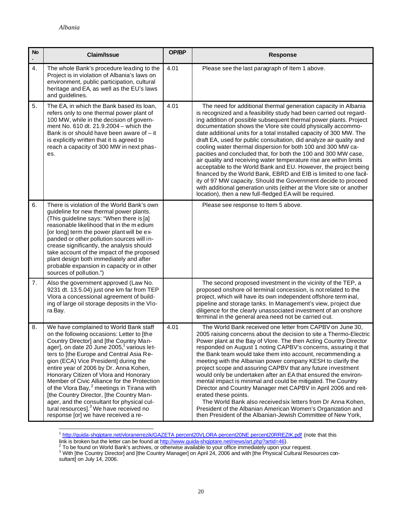| <b>No</b>      | <b>Claim/Issue</b>                                                                                                                                                                                                                                                                                                                                                                                                                                                                                                                                                                                                                                                  | OP/BP | <b>Response</b>                                                                                                                                                                                                                                                                                                                                                                                                                                                                                                                                                                                                                                                                                                                                                                                                                                                                                                                                                               |
|----------------|---------------------------------------------------------------------------------------------------------------------------------------------------------------------------------------------------------------------------------------------------------------------------------------------------------------------------------------------------------------------------------------------------------------------------------------------------------------------------------------------------------------------------------------------------------------------------------------------------------------------------------------------------------------------|-------|-------------------------------------------------------------------------------------------------------------------------------------------------------------------------------------------------------------------------------------------------------------------------------------------------------------------------------------------------------------------------------------------------------------------------------------------------------------------------------------------------------------------------------------------------------------------------------------------------------------------------------------------------------------------------------------------------------------------------------------------------------------------------------------------------------------------------------------------------------------------------------------------------------------------------------------------------------------------------------|
| 4.             | The whole Bank's procedure leading to the<br>Project is in violation of Albania's laws on<br>environment, public participation, cultural<br>heritage and EA, as well as the EU's laws<br>and guidelines.                                                                                                                                                                                                                                                                                                                                                                                                                                                            | 4.01  | Please see the last paragraph of Item 1 above.                                                                                                                                                                                                                                                                                                                                                                                                                                                                                                                                                                                                                                                                                                                                                                                                                                                                                                                                |
| 5.             | The EA, in which the Bank based its loan,<br>refers only to one thermal power plant of<br>100 MW, while in the decision of govern-<br>ment No. 610 dt. 21.9.2004 - which the<br>Bank is or should have been aware of $-$ it<br>is explicitly written that it is agreed to<br>reach a capacity of 300 MW in next phas-<br>es.                                                                                                                                                                                                                                                                                                                                        | 4.01  | The need for additional thermal generation capacity in Albania<br>is recognized and a feasibility study had been carried out regard-<br>ing addition of possible subsequent thermal power plants. Project<br>documentation shows the Vlore site could physically accommo-<br>date additional units for a total installed capacity of 300 MW. The<br>draft EA, used for public consultation, did analyze air quality and<br>cooling water thermal dispersion for both 100 and 300 MW ca-<br>pacities and concluded that, for both the 100 and 300 MW case,<br>air quality and receiving water temperature rise are within limits<br>acceptable to the World Bank and EU. However, the project being<br>financed by the World Bank, EBRD and EIB is limited to one facil-<br>ity of 97 MW capacity. Should the Government decide to proceed<br>with additional generation units (either at the Vlore site or another<br>location), then a new full-fledged EA will be required. |
| 6.             | There is violation of the World Bank's own<br>guideline for new thermal power plants.<br>(This guideline says: "When there is [a]<br>reasonable likelihood that in the medium<br>[or long] term the power plant will be ex-<br>panded or other pollution sources will in-<br>crease significantly, the analysis should<br>take account of the impact of the proposed<br>plant design both immediately and after<br>probable expansion in capacity or in other<br>sources of pollution.")                                                                                                                                                                            |       | Please see response to Item 5 above.                                                                                                                                                                                                                                                                                                                                                                                                                                                                                                                                                                                                                                                                                                                                                                                                                                                                                                                                          |
| 7 <sub>1</sub> | Also the government approved (Law No.<br>9231 dt. 13.5.04) just one km far from TEP<br>Vlora a concessional agreement of build-<br>ing of large oil storage deposits in the VIo-<br>ra Bay.                                                                                                                                                                                                                                                                                                                                                                                                                                                                         |       | The second proposed investment in the vicinity of the TEP, a<br>proposed onshore oil terminal concession, is not related to the<br>project, which will have its own independent offshore term inal,<br>pipeline and storage tanks. In Management's view, project due<br>diligence for the clearly unassociated investment of an onshore<br>terminal in the general area need not be carried out.                                                                                                                                                                                                                                                                                                                                                                                                                                                                                                                                                                              |
| 8.             | We have complained to World Bank staff<br>on the following occasions: Letter to [the<br>Country Director] and [the Country Man-<br>ager], on date 20 June 2005, <sup>1</sup> various let-<br>ters to [the Europe and Central Asia Re-<br>gion (ECA) Vice President] during the<br>entire year of 2006 by Dr. Anna Kohen,<br>Honorary Citizen of Vlora and Honorary<br>Member of Civic Alliance for the Protection<br>of the Vlora Bay, <sup>2</sup> meetings in Tirana with<br>[the Country Director, [the Country Man-<br>ager, and the consultant for physical cul-<br>tural resources]. <sup>3</sup> We have received no<br>response [or] we have received a re- | 4.01  | The World Bank received one letter from CAPBV on June 30,<br>2005 raising concerns about the decision to site a Thermo-Electric<br>Power plant at the Bay of Vlore. The then Acting Country Director<br>responded on August 1 noting CAPBV's concerns, assuring it that<br>the Bank team would take them into account, recommending a<br>meeting with the Albanian power company KESH to clarify the<br>project scope and assuring CAPBV that any future investment<br>would only be undertaken after an EA that ensured the environ-<br>mental impact is minimal and could be mitigated. The Country<br>Director and Country Manager met CAPBV in April 2006 and reit-<br>erated these points.<br>The World Bank also received six letters from Dr Anna Kohen,<br>President of the Albanian American Women's Organization and<br>then President of the Albanian-Jewish Committee of New York,                                                                                |

1 http://guida-shqiptare.net/vloranerrezik/GAZETA percent20VLORA percent20NE percent20RREZIK.pdf (note that this

link is broken but the letter can be found at <u>http://www.quida-shqiptare.net/news/art.php?artid=46</u>).<br><sup>2</sup> To be found on World Bank's archives, or otherwise available to your office immediately upon your request.<br><sup>3</sup> With sultant] on July 14, 2006.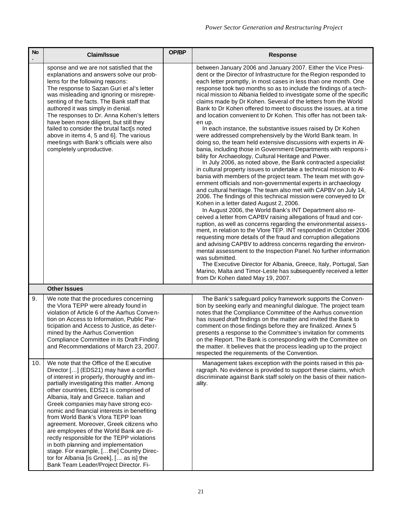| <b>No</b> | <b>Claim/Issue</b>                                                                                                                                                                                                                                                                                                                                                                                                                                                                                                                                                                                                                                                                                            | OP/BP | <b>Response</b>                                                                                                                                                                                                                                                                                                                                                                                                                                                                                                                                                                                                                                                                                                                                                                                                                                                                                                                                                                                                                                                                                                                                                                                                                                                                                                                                                                                                                                                                                                                                                                                                                                                                                                                                                                                                                                                                                                                                                                                                                                      |
|-----------|---------------------------------------------------------------------------------------------------------------------------------------------------------------------------------------------------------------------------------------------------------------------------------------------------------------------------------------------------------------------------------------------------------------------------------------------------------------------------------------------------------------------------------------------------------------------------------------------------------------------------------------------------------------------------------------------------------------|-------|------------------------------------------------------------------------------------------------------------------------------------------------------------------------------------------------------------------------------------------------------------------------------------------------------------------------------------------------------------------------------------------------------------------------------------------------------------------------------------------------------------------------------------------------------------------------------------------------------------------------------------------------------------------------------------------------------------------------------------------------------------------------------------------------------------------------------------------------------------------------------------------------------------------------------------------------------------------------------------------------------------------------------------------------------------------------------------------------------------------------------------------------------------------------------------------------------------------------------------------------------------------------------------------------------------------------------------------------------------------------------------------------------------------------------------------------------------------------------------------------------------------------------------------------------------------------------------------------------------------------------------------------------------------------------------------------------------------------------------------------------------------------------------------------------------------------------------------------------------------------------------------------------------------------------------------------------------------------------------------------------------------------------------------------------|
|           | sponse and we are not satisfied that the<br>explanations and answers solve our prob-<br>lems for the following reasons:<br>The response to Sazan Guri et al's letter<br>was misleading and ignoring or misrepre-<br>senting of the facts. The Bank staff that<br>authored it was simply in denial.<br>The responses to Dr. Anna Kohen's letters<br>have been more diligent, but still they<br>failed to consider the brutal fact[s noted<br>above in items 4, 5 and 6]. The various<br>meetings with Bank's officials were also<br>completely unproductive.                                                                                                                                                   |       | between January 2006 and January 2007. Either the Vice Presi-<br>dent or the Director of Infrastructure for the Region responded to<br>each letter promptly, in most cases in less than one month. One<br>response took two months so as to include the findings of a tech-<br>nical mission to Albania fielded to investigate some of the specific<br>claims made by Dr Kohen. Several of the letters from the World<br>Bank to Dr Kohen offered to meet to discuss the issues, at a time<br>and location convenient to Dr Kohen. This offer has not been tak-<br>en up.<br>In each instance, the substantive issues raised by Dr Kohen<br>were addressed comprehensively by the World Bank team. In<br>doing so, the team held extensive discussions with experts in Al-<br>bania, including those in Government Departments with respons i-<br>bility for Archaeology, Cultural Heritage and Power.<br>In July 2006, as noted above, the Bank contracted aspecialist<br>in cultural property issues to undertake a technical mission to Al-<br>bania with members of the project team. The team met with gov-<br>ernment officials and non-governmental experts in archaeology<br>and cultural heritage. The team also met with CAPBV on July 14,<br>2006. The findings of this technical mission were conveyed to Dr<br>Kohen in a letter dated August 2, 2006.<br>In August 2006, the World Bank's INT Department also re-<br>ceived a letter from CAPBV raising allegations of fraud and cor-<br>ruption, as well as concerns regarding the environmental assess-<br>ment, in relation to the Vlore TEP. INT responded in October 2006<br>requesting more details of the fraud and corruption allegations<br>and advising CAPBV to address concerns regarding the environ-<br>mental assessment to the Inspection Panel. No further information<br>was submitted.<br>The Executive Director for Albania, Greece, Italy, Portugal, San<br>Marino, Malta and Timor-Leste has subsequently received a letter<br>from Dr Kohen dated May 19, 2007. |
|           | <b>Other Issues</b>                                                                                                                                                                                                                                                                                                                                                                                                                                                                                                                                                                                                                                                                                           |       |                                                                                                                                                                                                                                                                                                                                                                                                                                                                                                                                                                                                                                                                                                                                                                                                                                                                                                                                                                                                                                                                                                                                                                                                                                                                                                                                                                                                                                                                                                                                                                                                                                                                                                                                                                                                                                                                                                                                                                                                                                                      |
| 9.        | We note that the procedures concerning<br>the Vlora TEPP were already found in<br>violation of Article 6 of the Aarhus Conven-<br>tion on Access to Information, Public Par-<br>ticipation and Access to Justice, as deter-<br>mined by the Aarhus Convention<br>Compliance Committee in its Draft Finding<br>and Recommendations of March 23, 2007.                                                                                                                                                                                                                                                                                                                                                          |       | The Bank's safeguard policy framework supports the Conven-<br>tion by seeking early and meaningful dialogue. The project team<br>notes that the Compliance Committee of the Aarhus convention<br>has issued draft findings on the matter and invited the Bank to<br>comment on those findings before they are finalized. Annex 5<br>presents a response to the Committee's invitation for comments<br>on the Report. The Bank is corresponding with the Committee on<br>the matter. It believes that the process leading up to the project<br>respected the requirements of the Convention.                                                                                                                                                                                                                                                                                                                                                                                                                                                                                                                                                                                                                                                                                                                                                                                                                                                                                                                                                                                                                                                                                                                                                                                                                                                                                                                                                                                                                                                          |
| 10.       | We note that the Office of the Executive<br>Director [] (EDS21) may have a conflict<br>of interest in properly, thoroughly and im-<br>partially investigating this matter. Among<br>other countries, EDS21 is comprised of<br>Albania, Italy and Greece. Italian and<br>Greek companies may have strong eco-<br>nomic and financial interests in benefiting<br>from World Bank's Vlora TEPP loan<br>agreement. Moreover, Greek citizens who<br>are employees of the World Bank are di-<br>rectly responsible for the TEPP violations<br>in both planning and implementation<br>stage. For example, [the] Country Direc-<br>tor for Albania [is Greek], [ as is] the<br>Bank Team Leader/Project Director. Fi- |       | Management takes exception with the points raised in this pa-<br>ragraph. No evidence is provided to support these claims, which<br>discriminate against Bank staff solely on the basis of their nation-<br>ality.                                                                                                                                                                                                                                                                                                                                                                                                                                                                                                                                                                                                                                                                                                                                                                                                                                                                                                                                                                                                                                                                                                                                                                                                                                                                                                                                                                                                                                                                                                                                                                                                                                                                                                                                                                                                                                   |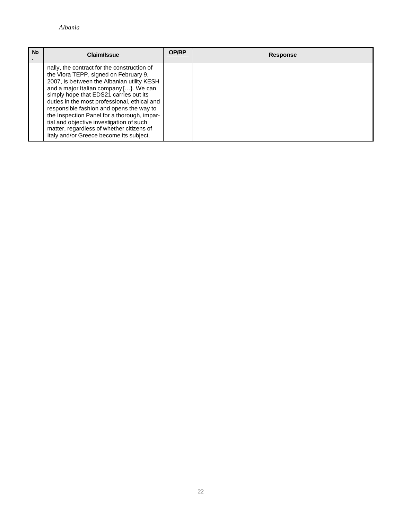| <b>No</b> | Claim/Issue                                                                                                                                                                                                                                                                                                                                                                                                                                                                                           | OP/BP | <b>Response</b> |
|-----------|-------------------------------------------------------------------------------------------------------------------------------------------------------------------------------------------------------------------------------------------------------------------------------------------------------------------------------------------------------------------------------------------------------------------------------------------------------------------------------------------------------|-------|-----------------|
|           | nally, the contract for the construction of<br>the Vlora TEPP, signed on February 9,<br>2007, is between the Albanian utility KESH<br>and a major Italian company [}. We can<br>simply hope that EDS21 carries out its<br>duties in the most professional, ethical and<br>responsible fashion and opens the way to<br>the Inspection Panel for a thorough, impar-<br>tial and objective investigation of such<br>matter, regardless of whether citizens of<br>Italy and/or Greece become its subject. |       |                 |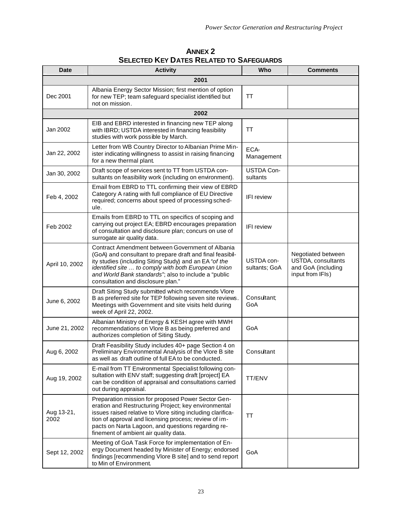| <b>ANNEX 2</b>                                  |
|-------------------------------------------------|
| <b>SELECTED KEY DATES RELATED TO SAFEGUARDS</b> |

| <b>Date</b>        | <b>Activity</b>                                                                                                                                                                                                                                                                                                                   | Who                           | <b>Comments</b>                                                                           |  |  |  |  |
|--------------------|-----------------------------------------------------------------------------------------------------------------------------------------------------------------------------------------------------------------------------------------------------------------------------------------------------------------------------------|-------------------------------|-------------------------------------------------------------------------------------------|--|--|--|--|
| 2001               |                                                                                                                                                                                                                                                                                                                                   |                               |                                                                                           |  |  |  |  |
| Dec 2001           | Albania Energy Sector Mission; first mention of option<br>for new TEP; team safeguard specialist identified but<br>not on mission.                                                                                                                                                                                                | <b>TT</b>                     |                                                                                           |  |  |  |  |
|                    | 2002                                                                                                                                                                                                                                                                                                                              |                               |                                                                                           |  |  |  |  |
| Jan 2002           | EIB and EBRD interested in financing new TEP along<br>with IBRD; USTDA interested in financing feasibility<br>studies with work possible by March.                                                                                                                                                                                | TT                            |                                                                                           |  |  |  |  |
| Jan 22, 2002       | Letter from WB Country Director to Albanian Prime Min-<br>ister indicating willingness to assist in raising financing<br>for a new thermal plant.                                                                                                                                                                                 | ECA-<br>Management            |                                                                                           |  |  |  |  |
| Jan 30, 2002       | Draft scope of services sent to TT from USTDA con-<br>sultants on feasibility work (including on environment).                                                                                                                                                                                                                    | <b>USTDA Con-</b><br>sultants |                                                                                           |  |  |  |  |
| Feb 4, 2002        | Email from EBRD to TTL confirming their view of EBRD<br>Category A rating with full compliance of EU Directive<br>required; concerns about speed of processing sched-<br>ule.                                                                                                                                                     | <b>IFI</b> review             |                                                                                           |  |  |  |  |
| Feb 2002           | Emails from EBRD to TTL on specifics of scoping and<br>carrying out project EA; EBRD encourages preparation<br>of consultation and disclosure plan; concurs on use of<br>surrogate air quality data.                                                                                                                              | <b>IFI</b> review             |                                                                                           |  |  |  |  |
| April 10, 2002     | Contract Amendment between Government of Albania<br>(GoA) and consultant to prepare draft and final feasibil-<br>ity studies (including Siting Study) and an EA "of the<br>identified site  to comply with both European Union<br>and World Bank standards"; also to include a "public<br>consultation and disclosure plan."      | USTDA con-<br>sultants; GoA   | Negotiated between<br><b>USTDA, consultants</b><br>and GoA (including<br>input from IFIs) |  |  |  |  |
| June 6, 2002       | Draft Siting Study submitted which recommends Vlore<br>B as preferred site for TEP following seven site reviews.<br>Meetings with Government and site visits held during<br>week of April 22, 2002.                                                                                                                               | Consultant;<br>GoA            |                                                                                           |  |  |  |  |
| June 21, 2002      | Albanian Ministry of Energy & KESH agree with MWH<br>recommendations on Vlore B as being preferred and<br>authorizes completion of Siting Study.                                                                                                                                                                                  | GoA                           |                                                                                           |  |  |  |  |
| Aug 6, 2002        | Draft Feasibility Study includes 40+ page Section 4 on<br>Preliminary Environmental Analysis of the Vlore B site<br>as well as draft outline of full EA to be conducted.                                                                                                                                                          | Consultant                    |                                                                                           |  |  |  |  |
| Aug 19, 2002       | E-mail from TT Environmental Specialist following con-<br>sultation with ENV staff; suggesting draft [project] EA<br>can be condition of appraisal and consultations carried<br>out during appraisal.                                                                                                                             | TT/ENV                        |                                                                                           |  |  |  |  |
| Aug 13-21,<br>2002 | Preparation mission for proposed Power Sector Gen-<br>eration and Restructuring Project; key environmental<br>issues raised relative to Vlore siting including clarifica-<br>tion of approval and licensing process; review of im-<br>pacts on Narta Lagoon, and questions regarding re-<br>finement of ambient air quality data. | <b>TT</b>                     |                                                                                           |  |  |  |  |
| Sept 12, 2002      | Meeting of GoA Task Force for implementation of En-<br>ergy Document headed by Minister of Energy; endorsed<br>findings [recommending Vlore B site] and to send report<br>to Min of Environment.                                                                                                                                  | GoA                           |                                                                                           |  |  |  |  |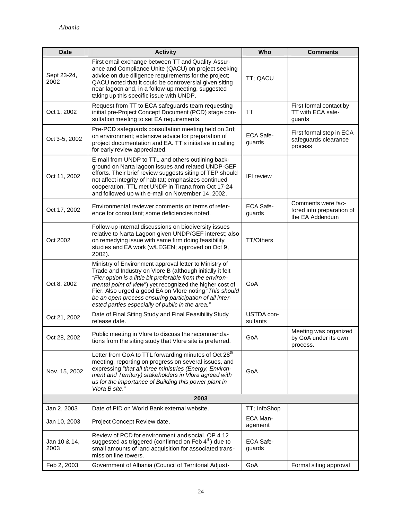| <b>Date</b>          | <b>Activity</b>                                                                                                                                                                                                                                                                                                                                                                                                        | Who                    | <b>Comments</b>                                                    |
|----------------------|------------------------------------------------------------------------------------------------------------------------------------------------------------------------------------------------------------------------------------------------------------------------------------------------------------------------------------------------------------------------------------------------------------------------|------------------------|--------------------------------------------------------------------|
| Sept 23-24,<br>2002  | First email exchange between TT and Quality Assur-<br>ance and Compliance Unite (QACU) on project seeking<br>advice on due diligence requirements for the project;<br>QACU noted that it could be controversial given siting<br>near lagoon and, in a follow-up meeting, suggested<br>taking up this specific issue with UNDP.                                                                                         | TT; QACU               |                                                                    |
| Oct 1, 2002          | Request from TT to ECA safeguards team requesting<br>initial pre-Project Concept Document (PCD) stage con-<br>sultation meeting to set EA requirements.                                                                                                                                                                                                                                                                | <b>TT</b>              | First formal contact by<br>TT with ECA safe-<br>quards             |
| Oct 3-5, 2002        | Pre-PCD safeguards consultation meeting held on 3rd;<br>on environment; extensive advice for preparation of<br>project documentation and EA. TT's initiative in calling<br>for early review appreciated.                                                                                                                                                                                                               | ECA Safe-<br>guards    | First formal step in ECA<br>safeguards clearance<br>process        |
| Oct 11, 2002         | E-mail from UNDP to TTL and others outlining back-<br>ground on Narta lagoon issues and related UNDP-GEF<br>efforts. Their brief review suggests siting of TEP should<br>not affect integrity of habitat; emphasizes continued<br>cooperation. TTL met UNDP in Tirana from Oct 17-24<br>and followed up with e-mail on November 14, 2002.                                                                              | <b>IFI</b> review      |                                                                    |
| Oct 17, 2002         | Environmental reviewer comments on terms of refer-<br>ence for consultant; some deficiencies noted.                                                                                                                                                                                                                                                                                                                    | ECA Safe-<br>guards    | Comments were fac-<br>tored into preparation of<br>the EA Addendum |
| Oct 2002             | Follow-up internal discussions on biodiversity issues<br>relative to Narta Lagoon given UNDP/GEF interest; also<br>on remedying issue with same firm doing feasibility<br>studies and EA work (w/LEGEN; approved on Oct 9,<br>2002).                                                                                                                                                                                   | <b>TT/Others</b>       |                                                                    |
| Oct 8, 2002          | Ministry of Environment approval letter to Ministry of<br>Trade and Industry on Vlore B (although initially it felt<br>"Fier option is a little bit preferable from the environ-<br>mental point of view") yet recognized the higher cost of<br>Fier. Also urged a good EA on Vlore noting "This should<br>be an open process ensuring participation of all inter-<br>ested parties especially of public in the area." | GoA                    |                                                                    |
| Oct 21, 2002         | Date of Final Siting Study and Final Feasibility Study<br>release date.                                                                                                                                                                                                                                                                                                                                                | USTDA con-<br>sultants |                                                                    |
| Oct 28, 2002         | Public meeting in Vlore to discuss the recommenda-<br>tions from the siting study that Vlore site is preferred.                                                                                                                                                                                                                                                                                                        | GoA                    | Meeting was organized<br>by GoA under its own<br>process.          |
| Nov. 15, 2002        | Letter from GoA to TTL forwarding minutes of Oct 28 <sup>th</sup><br>meeting, reporting on progress on several issues, and<br>expressing "that all three ministries (Energy, Environ-<br>ment and Territory) stakeholders in Vlora agreed with<br>us for the importance of Building this power plant in<br>Vlora B site."                                                                                              | GoA                    |                                                                    |
|                      | 2003                                                                                                                                                                                                                                                                                                                                                                                                                   |                        |                                                                    |
| Jan 2, 2003          | Date of PID on World Bank external website.                                                                                                                                                                                                                                                                                                                                                                            | TT; InfoShop           |                                                                    |
| Jan 10, 2003         | Project Concept Review date.                                                                                                                                                                                                                                                                                                                                                                                           | ECA Man-<br>agement    |                                                                    |
| Jan 10 & 14,<br>2003 | Review of PCD for environment and social. OP 4.12<br>suggested as triggered (confirmed on Feb 4 <sup>th</sup> ) due to<br>small amounts of land acquisition for associated trans-<br>mission line towers.                                                                                                                                                                                                              | ECA Safe-<br>guards    |                                                                    |
| Feb 2, 2003          | Government of Albania (Council of Territorial Adjus t-                                                                                                                                                                                                                                                                                                                                                                 | GoA                    | Formal siting approval                                             |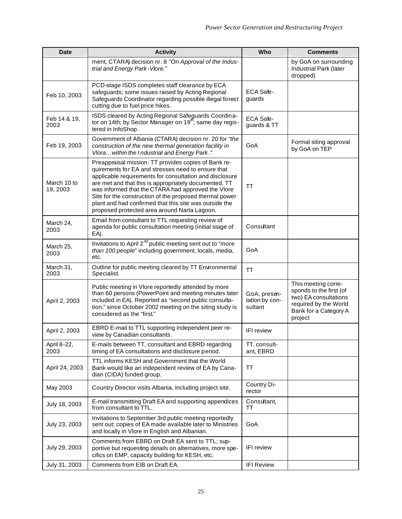| <b>Date</b>             | <b>Activity</b>                                                                                                                                                                                                                                                                                                                                                                                                                                           | Who                                       | <b>Comments</b>                                                                                                                      |
|-------------------------|-----------------------------------------------------------------------------------------------------------------------------------------------------------------------------------------------------------------------------------------------------------------------------------------------------------------------------------------------------------------------------------------------------------------------------------------------------------|-------------------------------------------|--------------------------------------------------------------------------------------------------------------------------------------|
|                         | ment, CTARA) decision nr. 8 "On Approval of the Indus-<br>trial and Energy Park-Vlore."                                                                                                                                                                                                                                                                                                                                                                   |                                           | by GoA on surrounding<br>Industrial Park (later<br>dropped)                                                                          |
| Feb 10, 2003            | PCD-stage ISDS completes staff clearance by ECA<br>safeguards; some issues raised by Acting Regional<br>Safeguards Coordinator regarding possible illegal forest<br>cutting due to fuel price hikes.                                                                                                                                                                                                                                                      | ECA Safe-<br>guards                       |                                                                                                                                      |
| Feb 14 & 19,<br>2003    | ISDS cleared by Acting Regional Safeguards Coordina-<br>tor on 14th; by Sector Manager on 19 <sup>th</sup> ; same day regis-<br>tered in InfoShop.                                                                                                                                                                                                                                                                                                        | ECA Safe-<br>guards & TT                  |                                                                                                                                      |
| Feb 19, 2003            | Government of Albania (CTARA) decision nr. 20 for "the<br>construction of the new thermal generation facility in<br>Vlora within the I ndustrial and Energy Park."                                                                                                                                                                                                                                                                                        | GoA                                       | Formal siting approval<br>by GoA on TEP                                                                                              |
| March 10 to<br>19, 2003 | Preappraisal mission: TT provides copies of Bank re-<br>quirements for EA and stresses need to ensure that<br>applicable requirements for consultation and disclosure<br>are met and that this is appropriately documented. TT<br>was informed that the CTARA had approved the Vlore<br>Site for the construction of the proposed thermal power<br>plant and had confirmed that this site was outside the<br>proposed protected area around Narta Lagoon. | TT                                        |                                                                                                                                      |
| March 24,<br>2003       | Email from consultant to TTL requesting review of<br>agenda for public consultation meeting (initial stage of<br>EA).                                                                                                                                                                                                                                                                                                                                     | Consultant                                |                                                                                                                                      |
| March 25,<br>2003       | Invitations to April 2 <sup>nd</sup> public meeting sent out to "more<br>than 100 people" including government, locals, media,<br>etc.                                                                                                                                                                                                                                                                                                                    | GoA                                       |                                                                                                                                      |
| March 31,<br>2003       | Outline for public meeting cleared by TT Environmental<br>Specialist.                                                                                                                                                                                                                                                                                                                                                                                     | TΤ                                        |                                                                                                                                      |
| April 2, 2003           | Public meeting in Vlore reportedly attended by more<br>than 60 persons (PowerPoint and meeting minutes later<br>included in EA). Reported as "second public consulta-<br>tion," since October 2002 meeting on the siting study is<br>considered as the "first."                                                                                                                                                                                           | GoA; presen-<br>tation by con-<br>sultant | This meeting corre-<br>sponds to the first (of<br>two) EA consultations<br>required by the World<br>Bank for a Category A<br>project |
| April 2, 2003           | EBRD E-mail to TTL supporting independent peer re-<br>view by Canadian consultants.                                                                                                                                                                                                                                                                                                                                                                       | <b>IFI</b> review                         |                                                                                                                                      |
| April 8-22,<br>2003     | E-mails between TT, consultant and EBRD regarding<br>timing of EA consultations and disclosure period.                                                                                                                                                                                                                                                                                                                                                    | TT, consult-<br>ant, EBRD                 |                                                                                                                                      |
| April 24, 2003          | TTL informs KESH and Government that the World<br>Bank would like an independent review of EA by Cana-<br>dian (CIDA) funded group.                                                                                                                                                                                                                                                                                                                       | TΤ                                        |                                                                                                                                      |
| May 2003                | Country Director visits Albania, including project site.                                                                                                                                                                                                                                                                                                                                                                                                  | Country Di-<br>rector                     |                                                                                                                                      |
| July 18, 2003           | E-mail transmitting Draft EA and supporting appendices<br>from consultant to TTL.                                                                                                                                                                                                                                                                                                                                                                         | Consultant,<br>TT                         |                                                                                                                                      |
| July 23, 2003           | Invitations to September 3rd public meeting reportedly<br>sent out; copies of EA made available later to Ministries<br>and locally in Vlore in English and Albanian.                                                                                                                                                                                                                                                                                      | GoA                                       |                                                                                                                                      |
| July 29, 2003           | Comments from EBRD on Draft EA sent to TTL; sup-<br>portive but requesting details on alternatives, more spe-<br>cifics on EMP, capacity building for KESH, etc.                                                                                                                                                                                                                                                                                          | <b>IFI</b> review                         |                                                                                                                                      |
| July 31, 2003           | Comments from EIB on Draft EA.                                                                                                                                                                                                                                                                                                                                                                                                                            | <b>IFI Review</b>                         |                                                                                                                                      |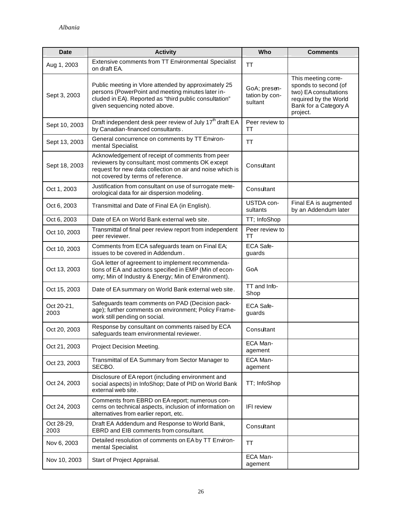| <b>Date</b>        | <b>Activity</b>                                                                                                                                                                                         | Who                                       | <b>Comments</b>                                                                                                                    |
|--------------------|---------------------------------------------------------------------------------------------------------------------------------------------------------------------------------------------------------|-------------------------------------------|------------------------------------------------------------------------------------------------------------------------------------|
| Aug 1, 2003        | Extensive comments from TT Environmental Specialist<br>on draft EA.                                                                                                                                     | <b>TT</b>                                 |                                                                                                                                    |
| Sept 3, 2003       | Public meeting in Vlore attended by approximately 25<br>persons (PowerPoint and meeting minutes later in-<br>cluded in EA). Reported as "third public consultation"<br>given sequencing noted above.    | GoA; presen-<br>tation by con-<br>sultant | This meeting corre-<br>sponds to second (of<br>two) EA consultations<br>required by the World<br>Bank for a Category A<br>project. |
| Sept 10, 2003      | Draft independent desk peer review of July 17 <sup>th</sup> draft EA<br>by Canadian-financed consultants.                                                                                               | Peer review to<br>TТ                      |                                                                                                                                    |
| Sept 13, 2003      | General concurrence on comments by TT Environ-<br>mental Specialist.                                                                                                                                    | <b>TT</b>                                 |                                                                                                                                    |
| Sept 18, 2003      | Acknowledgement of receipt of comments from peer<br>reviewers by consultant; most comments OK except<br>request for new data collection on air and noise which is<br>not covered by terms of reference. | Consultant                                |                                                                                                                                    |
| Oct 1, 2003        | Justification from consultant on use of surrogate mete-<br>orological data for air dispersion modeling.                                                                                                 | Consultant                                |                                                                                                                                    |
| Oct 6, 2003        | Transmittal and Date of Final EA (in English).                                                                                                                                                          | USTDA con-<br>sultants                    | Final EA is augmented<br>by an Addendum later                                                                                      |
| Oct 6, 2003        | Date of EA on World Bank external web site.                                                                                                                                                             | TT; InfoShop                              |                                                                                                                                    |
| Oct 10, 2003       | Transmittal of final peer review report from independent<br>peer reviewer.                                                                                                                              | Peer review to<br>TT                      |                                                                                                                                    |
| Oct 10, 2003       | Comments from ECA safeguards team on Final EA;<br>issues to be covered in Addendum.                                                                                                                     | ECA Safe-<br>guards                       |                                                                                                                                    |
| Oct 13, 2003       | GoA letter of agreement to implement recommenda-<br>tions of EA and actions specified in EMP (Min of econ-<br>omy; Min of Industry & Energy; Min of Environment).                                       | GoA                                       |                                                                                                                                    |
| Oct 15, 2003       | Date of EA summary on World Bank external web site.                                                                                                                                                     | TT and Info-<br>Shop                      |                                                                                                                                    |
| Oct 20-21,<br>2003 | Safeguards team comments on PAD (Decision pack-<br>age); further comments on environment; Policy Frame-<br>work still pending on social.                                                                | <b>ECA Safe-</b><br>guards                |                                                                                                                                    |
| Oct 20, 2003       | Response by consultant on comments raised by ECA<br>safeguards team environmental reviewer.                                                                                                             | Consultant                                |                                                                                                                                    |
| Oct 21, 2003       | Project Decision Meeting.                                                                                                                                                                               | ECA Man-<br>agement                       |                                                                                                                                    |
| Oct 23, 2003       | Transmittal of EA Summary from Sector Manager to<br>SECBO.                                                                                                                                              | ECA Man-<br>agement                       |                                                                                                                                    |
| Oct 24, 2003       | Disclosure of EA report (including environment and<br>social aspects) in InfoShop; Date of PID on World Bank<br>external web site.                                                                      | TT; InfoShop                              |                                                                                                                                    |
| Oct 24, 2003       | Comments from EBRD on EA report; numerous con-<br>cerns on technical aspects, inclusion of information on<br>alternatives from earlier report, etc.                                                     | <b>IFI</b> review                         |                                                                                                                                    |
| Oct 28-29,<br>2003 | Draft EA Addendum and Response to World Bank,<br>EBRD and EIB comments from consultant.                                                                                                                 | Consultant                                |                                                                                                                                    |
| Nov 6, 2003        | Detailed resolution of comments on EA by TT Environ-<br>mental Specialist.                                                                                                                              | TT                                        |                                                                                                                                    |
| Nov 10, 2003       | Start of Project Appraisal.                                                                                                                                                                             | ECA Man-<br>agement                       |                                                                                                                                    |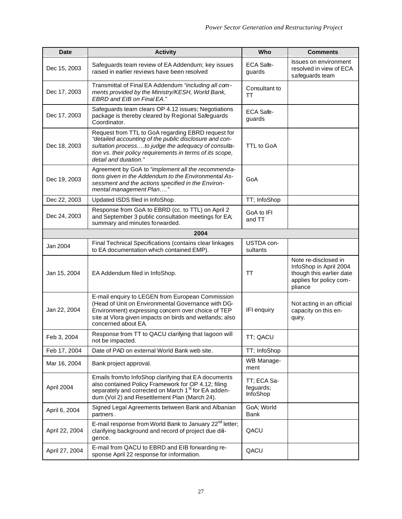| <b>Date</b>    | <b>Activity</b>                                                                                                                                                                                                                                           | Who                                  | <b>Comments</b>                                                                                                  |
|----------------|-----------------------------------------------------------------------------------------------------------------------------------------------------------------------------------------------------------------------------------------------------------|--------------------------------------|------------------------------------------------------------------------------------------------------------------|
| Dec 15, 2003   | Safeguards team review of EA Addendum; key issues<br>raised in earlier reviews have been resolved                                                                                                                                                         | ECA Safe-<br>guards                  | Issues on environment<br>resolved in view of ECA<br>safeguards team                                              |
| Dec 17, 2003   | Transmittal of Final EA Addendum "including all com-<br>ments provided by the Ministry/KESH, World Bank,<br>EBRD and EIB on Final EA."                                                                                                                    | Consultant to<br>TT                  |                                                                                                                  |
| Dec 17, 2003   | Safeguards team clears OP 4.12 issues; Negotiations<br>package is thereby cleared by Regional Safeguards<br>Coordinator.                                                                                                                                  | ECA Safe-<br>guards                  |                                                                                                                  |
| Dec 18, 2003   | Request from TTL to GoA regarding EBRD request for<br>"detailed accounting of the public disclosure and con-<br>sultation processto judge the adequacy of consulta-<br>tion vs. their policy requirements in terms of its scope,<br>detail and duration." | TTL to GoA                           |                                                                                                                  |
| Dec 19, 2003   | Agreement by GoA to "implement all the recommenda-<br>tions given in the Addendum to the Environmental As-<br>sessment and the actions specified in the Environ-<br>mental management Plan"                                                               | GoA                                  |                                                                                                                  |
| Dec 22, 2003   | Updated ISDS filed in InfoShop.                                                                                                                                                                                                                           | TT; InfoShop                         |                                                                                                                  |
| Dec 24, 2003   | Response from GoA to EBRD (cc. to TTL) on April 2<br>and September 3 public consultation meetings for EA;<br>summary and minutes forwarded.                                                                                                               | GoA to IFI<br>and TT                 |                                                                                                                  |
|                | 2004                                                                                                                                                                                                                                                      |                                      |                                                                                                                  |
| Jan 2004       | Final Technical Specifications (contains clear linkages<br>to EA documentation which contained EMP).                                                                                                                                                      | USTDA con-<br>sultants               |                                                                                                                  |
| Jan 15, 2004   | EA Addendum filed in InfoShop.                                                                                                                                                                                                                            | TT                                   | Note re-disclosed in<br>InfoShop in April 2004<br>though this earlier date<br>applies for policy com-<br>pliance |
| Jan 22, 2004   | E-mail enquiry to LEGEN from European Commission<br>(Head of Unit on Environmental Governance with DG-<br>Environment) expressing concern over choice of TEP<br>site at Vlora given impacts on birds and wetlands; also<br>concerned about EA.            | IFI enquiry                          | Not acting in an official<br>capacity on this en-<br>quiry.                                                      |
| Feb 3, 2004    | Response from TT to QACU clarifying that lagoon will<br>not be impacted.                                                                                                                                                                                  | TT: QACU                             |                                                                                                                  |
| Feb 17, 2004   | Date of PAD on external World Bank web site.                                                                                                                                                                                                              | TT; InfoShop                         |                                                                                                                  |
| Mar 16, 2004   | Bank project approval.                                                                                                                                                                                                                                    | WB Manage-<br>ment                   |                                                                                                                  |
| April 2004     | Emails from/to InfoShop clarifying that EA documents<br>also contained Policy Framework for OP 4.12; filing<br>separately and corrected on March 1 <sup>st</sup> for EA adden-<br>dum (Vol 2) and Resettlement Plan (March 24).                           | TT; ECA Sa-<br>feguards;<br>InfoShop |                                                                                                                  |
| April 6, 2004  | Signed Legal Agreements between Bank and Albanian<br>partners.                                                                                                                                                                                            | GoA; World<br>Bank                   |                                                                                                                  |
| April 22, 2004 | E-mail response from World Bank to January 22 <sup>nd</sup> letter;<br>clarifying background and record of project due dili-<br>gence.                                                                                                                    | QACU                                 |                                                                                                                  |
| April 27, 2004 | E-mail from QACU to EBRD and EIB forwarding re-<br>sponse April 22 response for information.                                                                                                                                                              | QACU                                 |                                                                                                                  |